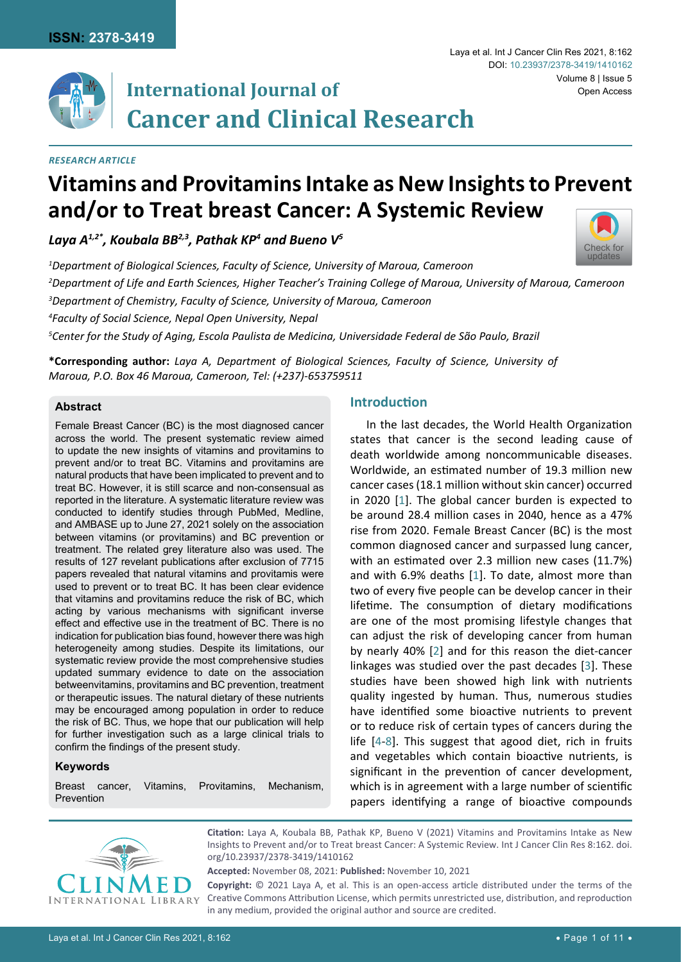

# **International Journal of Cancer and Clinical Research**

#### *Research Article*

# **Vitamins and Provitamins Intake as New Insights to Prevent and/or to Treat breast Cancer: A Systemic Review**

*Laya A1,2\*, Koubala BB2,3, Pathak KP4 and Bueno V5*

 *Department of Biological Sciences, Faculty of Science, University of Maroua, Cameroon Department of Life and Earth Sciences, Higher Teacher's Training College of Maroua, University of Maroua, Cameroon Department of Chemistry, Faculty of Science, University of Maroua, Cameroon Faculty of Social Science, Nepal Open University, Nepal Center for the Study of Aging, Escola Paulista de Medicina, Universidade Federal de São Paulo, Brazil*

**\*Corresponding author:** *Laya A, Department of Biological Sciences, Faculty of Science, University of Maroua, P.O. Box 46 Maroua, Cameroon, Tel: (+237)-653759511*

#### **Abstract**

Female Breast Cancer (BC) is the most diagnosed cancer across the world. The present systematic review aimed to update the new insights of vitamins and provitamins to prevent and/or to treat BC. Vitamins and provitamins are natural products that have been implicated to prevent and to treat BC. However, it is still scarce and non-consensual as reported in the literature. A systematic literature review was conducted to identify studies through PubMed, Medline, and AMBASE up to June 27, 2021 solely on the association between vitamins (or provitamins) and BC prevention or treatment. The related grey literature also was used. The results of 127 revelant publications after exclusion of 7715 papers revealed that natural vitamins and provitamis were used to prevent or to treat BC. It has been clear evidence that vitamins and provitamins reduce the risk of BC, which acting by various mechanisms with significant inverse effect and effective use in the treatment of BC. There is no indication for publication bias found, however there was high heterogeneity among studies. Despite its limitations, our systematic review provide the most comprehensive studies updated summary evidence to date on the association betweenvitamins, provitamins and BC prevention, treatment or therapeutic issues. The natural dietary of these nutrients may be encouraged among population in order to reduce the risk of BC. Thus, we hope that our publication will help for further investigation such as a large clinical trials to confirm the findings of the present study.

#### **Keywords**

Breast cancer, Vitamins, Provitamins, Mechanism, Prevention

# **Introduction**

In the last decades, the World Health Organization states that cancer is the second leading cause of death worldwide among noncommunicable diseases. Worldwide, an estimated number of 19.3 million new cancer cases (18.1 million without skin cancer) occurred in 2020 [[1](#page-6-0)]. The global cancer burden is expected to be around 28.4 million cases in 2040, hence as a 47% rise from 2020. Female Breast Cancer (BC) is the most common diagnosed cancer and surpassed lung cancer, with an estimated over 2.3 million new cases (11.7%) and with 6.9% deaths [\[1](#page-6-0)]. To date, almost more than two of every five people can be develop cancer in their lifetime. The consumption of dietary modifications are one of the most promising lifestyle changes that can adjust the risk of developing cancer from human by nearly 40% [[2](#page-6-1)] and for this reason the diet-cancer linkages was studied over the past decades [\[3\]](#page-6-2). These studies have been showed high link with nutrients quality ingested by human. Thus, numerous studies have identified some bioactive nutrients to prevent or to reduce risk of certain types of cancers during the life [[4-](#page-6-3)[8](#page-6-4)]. This suggest that agood diet, rich in fruits and vegetables which contain bioactive nutrients, is significant in the prevention of cancer development, which is in agreement with a large number of scientific papers identifying a range of bioactive compounds



**Citation:** Laya A, Koubala BB, Pathak KP, Bueno V (2021) Vitamins and Provitamins Intake as New Insights to Prevent and/or to Treat breast Cancer: A Systemic Review. Int J Cancer Clin Res 8:162. [doi.](https://doi.org/10.23937/2378-3419/1410162) [org/10.23937/2378-3419/1410162](https://doi.org/10.23937/2378-3419/1410162)

**Accepted:** November 08, 2021: **Published:** November 10, 2021

**Copyright:** © 2021 Laya A, et al. This is an open-access article distributed under the terms of the Creative Commons Attribution License, which permits unrestricted use, distribution, and reproduction in any medium, provided the original author and source are credited.

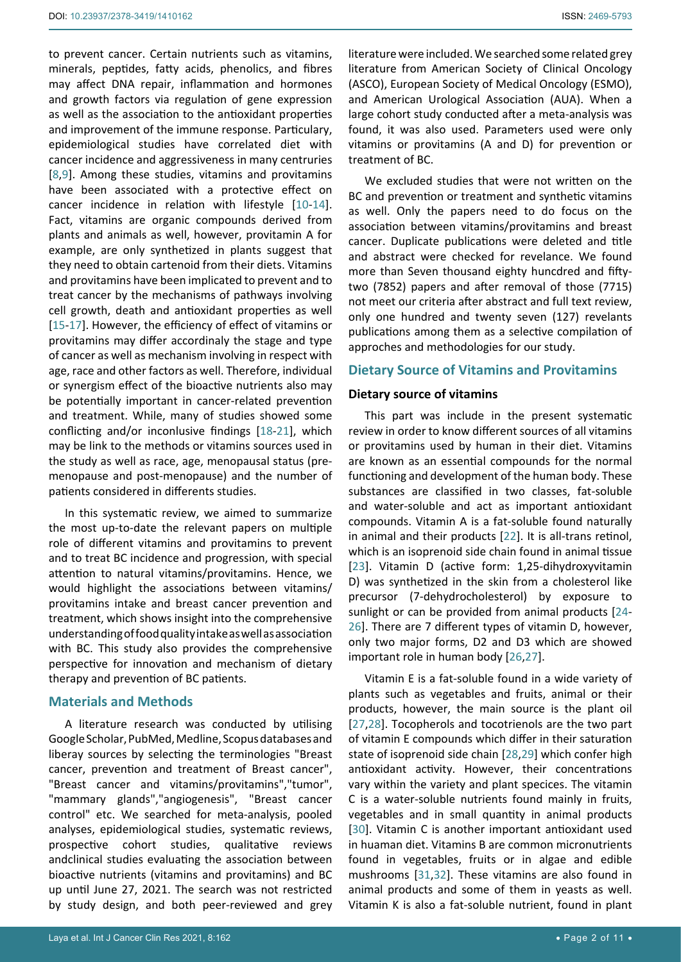to prevent cancer. Certain nutrients such as vitamins, minerals, peptides, fatty acids, phenolics, and fibres may affect DNA repair, inflammation and hormones and growth factors via regulation of gene expression as well as the association to the antioxidant properties and improvement of the immune response. Particulary, epidemiological studies have correlated diet with cancer incidence and aggressiveness in many centruries [[8](#page-6-4)[,9\]](#page-6-5). Among these studies, vitamins and provitamins have been associated with a protective effect on cancer incidence in relation with lifestyle [[10](#page-6-6)[-14](#page-6-7)]. Fact, vitamins are organic compounds derived from plants and animals as well, however, provitamin A for example, are only synthetized in plants suggest that they need to obtain cartenoid from their diets. Vitamins and provitamins have been implicated to prevent and to treat cancer by the mechanisms of pathways involving cell growth, death and antioxidant properties as well [[15](#page-6-8)[-17](#page-6-9)]. However, the efficiency of effect of vitamins or provitamins may differ accordinaly the stage and type of cancer as well as mechanism involving in respect with age, race and other factors as well. Therefore, individual or synergism effect of the bioactive nutrients also may be potentially important in cancer-related prevention and treatment. While, many of studies showed some conflicting and/or inconlusive findings [[18-](#page-7-0)[21](#page-7-1)], which may be link to the methods or vitamins sources used in the study as well as race, age, menopausal status (premenopause and post-menopause) and the number of patients considered in differents studies.

In this systematic review, we aimed to summarize the most up-to-date the relevant papers on multiple role of different vitamins and provitamins to prevent and to treat BC incidence and progression, with special attention to natural vitamins/provitamins. Hence, we would highlight the associations between vitamins/ provitamins intake and breast cancer prevention and treatment, which shows insight into the comprehensive understanding of food quality intake as well as association with BC. This study also provides the comprehensive perspective for innovation and mechanism of dietary therapy and prevention of BC patients.

# **Materials and Methods**

A literature research was conducted by utilising Google Scholar, PubMed, Medline, Scopus databases and liberay sources by selecting the terminologies "Breast cancer, prevention and treatment of Breast cancer", "Breast cancer and vitamins/provitamins","tumor", "mammary glands","angiogenesis", "Breast cancer control" etc. We searched for meta-analysis, pooled analyses, epidemiological studies, systematic reviews, prospective cohort studies, qualitative reviews andclinical studies evaluating the association between bioactive nutrients (vitamins and provitamins) and BC up until June 27, 2021. The search was not restricted by study design, and both peer-reviewed and grey

literature were included. We searched some related grey literature from American Society of Clinical Oncology (ASCO), European Society of Medical Oncology (ESMO), and American Urological Association (AUA). When a large cohort study conducted after a meta-analysis was found, it was also used. Parameters used were only vitamins or provitamins (A and D) for prevention or treatment of BC.

We excluded studies that were not written on the BC and prevention or treatment and synthetic vitamins as well. Only the papers need to do focus on the association between vitamins/provitamins and breast cancer. Duplicate publications were deleted and title and abstract were checked for revelance. We found more than Seven thousand eighty huncdred and fiftytwo (7852) papers and after removal of those (7715) not meet our criteria after abstract and full text review, only one hundred and twenty seven (127) revelants publications among them as a selective compilation of approches and methodologies for our study.

# **Dietary Source of Vitamins and Provitamins**

#### **Dietary source of vitamins**

This part was include in the present systematic review in order to know different sources of all vitamins or provitamins used by human in their diet. Vitamins are known as an essential compounds for the normal functioning and development of the human body. These substances are classified in two classes, fat-soluble and water-soluble and act as important antioxidant compounds. Vitamin A is a fat-soluble found naturally in animal and their products [\[22](#page-7-2)]. It is all-trans retinol, which is an isoprenoid side chain found in animal tissue [\[23](#page-7-3)]. Vitamin D (active form: 1,25-dihydroxyvitamin D) was synthetized in the skin from a cholesterol like precursor (7-dehydrocholesterol) by exposure to sunlight or can be provided from animal products [[24](#page-7-4)- [26](#page-7-5)]. There are 7 different types of vitamin D, however, only two major forms, D2 and D3 which are showed important role in human body [\[26](#page-7-5)[,27](#page-7-6)].

Vitamin E is a fat-soluble found in a wide variety of plants such as vegetables and fruits, animal or their products, however, the main source is the plant oil [\[27](#page-7-6)[,28](#page-7-7)]. Tocopherols and tocotrienols are the two part of vitamin E compounds which differ in their saturation state of isoprenoid side chain [[28](#page-7-7),[29](#page-7-8)] which confer high antioxidant activity. However, their concentrations vary within the variety and plant specices. The vitamin C is a water-soluble nutrients found mainly in fruits, vegetables and in small quantity in animal products [\[30](#page-7-9)]. Vitamin C is another important antioxidant used in huaman diet. Vitamins B are common micronutrients found in vegetables, fruits or in algae and edible mushrooms [\[31,](#page-7-10)[32](#page-7-11)]. These vitamins are also found in animal products and some of them in yeasts as well. Vitamin K is also a fat-soluble nutrient, found in plant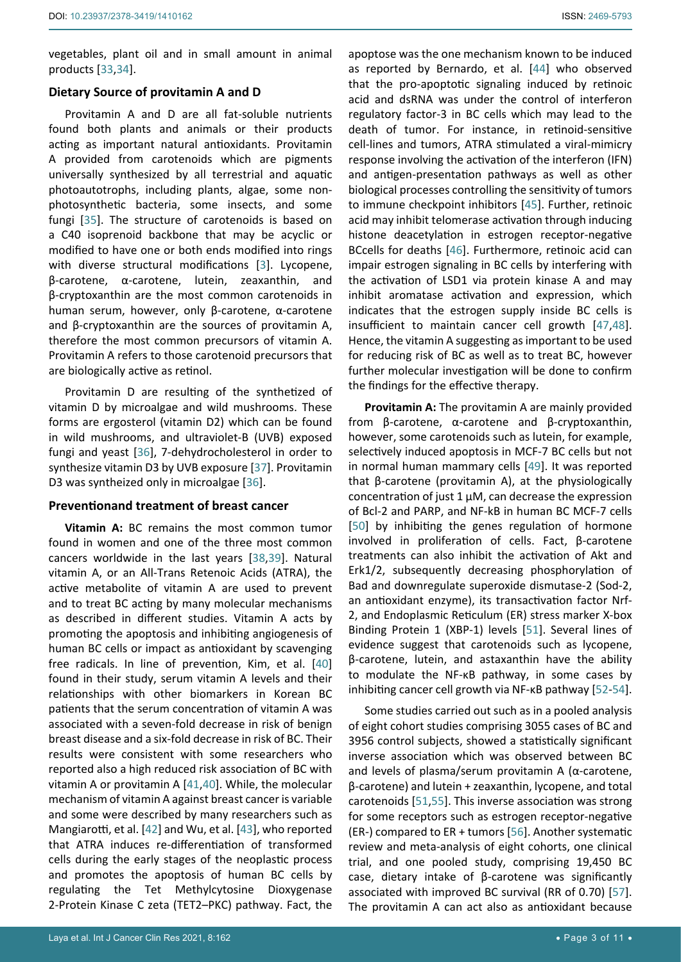vegetables, plant oil and in small amount in animal products [[33](#page-7-20),[34](#page-7-21)].

#### **Dietary Source of provitamin A and D**

Provitamin A and D are all fat-soluble nutrients found both plants and animals or their products acting as important natural antioxidants. Provitamin A provided from carotenoids which are pigments universally synthesized by all terrestrial and aquatic photoautotrophs, including plants, algae, some nonphotosynthetic bacteria, some insects, and some fungi [[35](#page-7-22)]. The structure of carotenoids is based on a C40 isoprenoid backbone that may be acyclic or modified to have one or both ends modified into rings with diverse structural modifications [[3\]](#page-6-2). Lycopene, β-carotene, α-carotene, lutein, zeaxanthin, and β-cryptoxanthin are the most common carotenoids in human serum, however, only β-carotene, α-carotene and β-cryptoxanthin are the sources of provitamin A, therefore the most common precursors of vitamin A. Provitamin A refers to those carotenoid precursors that are biologically active as retinol.

Provitamin D are resulting of the synthetized of vitamin D by microalgae and wild mushrooms. These forms are ergosterol (vitamin D2) which can be found in wild mushrooms, and ultraviolet-B (UVB) exposed fungi and yeast [[36](#page-7-23)], 7-dehydrocholesterol in order to synthesize vitamin D3 by UVB exposure [[37](#page-7-24)]. Provitamin D3 was syntheized only in microalgae [[36\]](#page-7-23).

#### **Preventionand treatment of breast cancer**

**Vitamin A:** BC remains the most common tumor found in women and one of the three most common cancers worldwide in the last years [[38,](#page-7-25)[39\]](#page-7-26). Natural vitamin A, or an All-Trans Retenoic Acids (ATRA), the active metabolite of vitamin A are used to prevent and to treat BC acting by many molecular mechanisms as described in different studies. Vitamin A acts by promoting the apoptosis and inhibiting angiogenesis of human BC cells or impact as antioxidant by scavenging free radicals. In line of prevention, Kim, et al. [[40](#page-7-27)] found in their study, serum vitamin A levels and their relationships with other biomarkers in Korean BC patients that the serum concentration of vitamin A was associated with a seven-fold decrease in risk of benign breast disease and a six-fold decrease in risk of BC. Their results were consistent with some researchers who reported also a high reduced risk association of BC with vitamin A or provitamin A [\[41,](#page-7-28)[40](#page-7-27)]. While, the molecular mechanism of vitamin A against breast cancer is variable and some were described by many researchers such as Mangiarotti, et al. [[42](#page-7-29)] and Wu, et al. [\[43](#page-7-30)], who reported that ATRA induces re-differentiation of transformed cells during the early stages of the neoplastic process and promotes the apoptosis of human BC cells by regulating the Tet Methylcytosine Dioxygenase 2-Protein Kinase C zeta (TET2–PKC) pathway. Fact, the

apoptose was the one mechanism known to be induced as reported by Bernardo, et al. [\[44](#page-7-12)] who observed that the pro-apoptotic signaling induced by retinoic acid and dsRNA was under the control of interferon regulatory factor-3 in BC cells which may lead to the death of tumor. For instance, in retinoid-sensitive cell-lines and tumors, ATRA stimulated a viral-mimicry response involving the activation of the interferon (IFN) and antigen-presentation pathways as well as other biological processes controlling the sensitivity of tumors to immune checkpoint inhibitors [[45](#page-7-13)]. Further, retinoic acid may inhibit telomerase activation through inducing histone deacetylation in estrogen receptor-negative BCcells for deaths [[46](#page-7-14)]. Furthermore, retinoic acid can impair estrogen signaling in BC cells by interfering with the activation of LSD1 via protein kinase A and may inhibit aromatase activation and expression, which indicates that the estrogen supply inside BC cells is insufficient to maintain cancer cell growth [[47](#page-7-15)[,48\]](#page-7-16). Hence, the vitamin A suggesting as important to be used for reducing risk of BC as well as to treat BC, however further molecular investigation will be done to confirm the findings for the effective therapy.

**Provitamin A:** The provitamin A are mainly provided from β-carotene, α-carotene and β-cryptoxanthin, however, some carotenoids such as lutein, for example, selectively induced apoptosis in MCF-7 BC cells but not in normal human mammary cells [[49\]](#page-7-17). It was reported that β-carotene (provitamin A), at the physiologically concentration of just 1 μM, can decrease the expression of Bcl-2 and PARP, and NF-kB in human BC MCF-7 cells [\[50](#page-7-18)] by inhibiting the genes regulation of hormone involved in proliferation of cells. Fact, β-carotene treatments can also inhibit the activation of Akt and Erk1/2, subsequently decreasing phosphorylation of Bad and downregulate superoxide dismutase-2 (Sod-2, an antioxidant enzyme), its transactivation factor Nrf-2, and Endoplasmic Reticulum (ER) stress marker X-box Binding Protein 1 (XBP-1) levels [[51](#page-7-19)]. Several lines of evidence suggest that carotenoids such as lycopene, β-carotene, lutein, and astaxanthin have the ability to modulate the NF-κB pathway, in some cases by inhibiting cancer cell growth via NF-κB pathway [[52](#page-8-0)[-54\]](#page-8-1).

Some studies carried out such as in a pooled analysis of eight cohort studies comprising 3055 cases of BC and 3956 control subjects, showed a statistically significant inverse association which was observed between BC and levels of plasma/serum provitamin A (α-carotene, β-carotene) and lutein + zeaxanthin, lycopene, and total carotenoids [\[51,](#page-7-19)[55](#page-8-2)]. This inverse association was strong for some receptors such as estrogen receptor-negative (ER-) compared to ER + tumors [[56](#page-8-3)]. Another systematic review and meta-analysis of eight cohorts, one clinical trial, and one pooled study, comprising 19,450 BC case, dietary intake of β-carotene was significantly associated with improved BC survival (RR of 0.70) [[57\]](#page-8-4). The provitamin A can act also as antioxidant because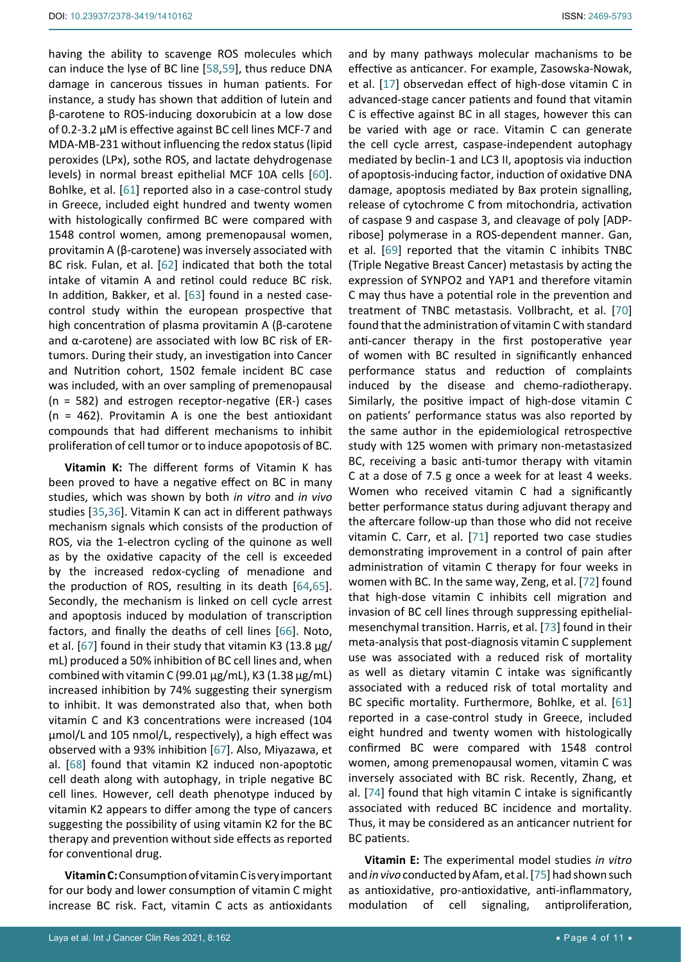having the ability to scavenge ROS molecules which can induce the lyse of BC line [[58,](#page-8-13)[59](#page-8-14)], thus reduce DNA damage in cancerous tissues in human patients. For instance, a study has shown that addition of lutein and β-carotene to ROS-inducing doxorubicin at a low dose of 0.2-3.2 μM is effective against BC cell lines MCF-7 and MDA-MB-231 without influencing the redox status (lipid peroxides (LPx), sothe ROS, and lactate dehydrogenase levels) in normal breast epithelial MCF 10A cells [[60](#page-8-15)]. Bohlke, et al. [[61\]](#page-8-10) reported also in a case-control study in Greece, included eight hundred and twenty women with histologically confirmed BC were compared with 1548 control women, among premenopausal women, provitamin A (β-carotene) was inversely associated with BC risk. Fulan, et al. [[62](#page-8-16)] indicated that both the total intake of vitamin A and retinol could reduce BC risk. In addition, Bakker, et al. [[63](#page-8-17)] found in a nested casecontrol study within the european prospective that high concentration of plasma provitamin A (β-carotene and α-carotene) are associated with low BC risk of ERtumors. During their study, an investigation into Cancer and Nutrition cohort, 1502 female incident BC case was included, with an over sampling of premenopausal (n = 582) and estrogen receptor-negative (ER-) cases  $(n = 462)$ . Provitamin A is one the best antioxidant compounds that had different mechanisms to inhibit proliferation of cell tumor or to induce apopotosis of BC.

**Vitamin K:** The different forms of Vitamin K has been proved to have a negative effect on BC in many studies, which was shown by both *in vitro* and *in vivo* studies [\[35,](#page-7-22)[36](#page-7-23)]. Vitamin K can act in different pathways mechanism signals which consists of the production of ROS, via the 1-electron cycling of the quinone as well as by the oxidative capacity of the cell is exceeded by the increased redox-cycling of menadione and the production of ROS, resulting in its death [[64,](#page-8-18)[65](#page-8-19)]. Secondly, the mechanism is linked on cell cycle arrest and apoptosis induced by modulation of transcription factors, and finally the deaths of cell lines [[66](#page-8-20)]. Noto, et al. [[67](#page-8-21)] found in their study that vitamin K3 (13.8 μg/ mL) produced a 50% inhibition of BC cell lines and, when combined with vitamin C (99.01 μg/mL), K3 (1.38 μg/mL) increased inhibition by 74% suggesting their synergism to inhibit. It was demonstrated also that, when both vitamin C and K3 concentrations were increased (104 μmol/L and 105 nmol/L, respectively), a high effect was observed with a 93% inhibition [[67](#page-8-21)]. Also, Miyazawa, et al. [[68](#page-8-22)] found that vitamin K2 induced non-apoptotic cell death along with autophagy, in triple negative BC cell lines. However, cell death phenotype induced by vitamin K2 appears to differ among the type of cancers suggesting the possibility of using vitamin K2 for the BC therapy and prevention without side effects as reported for conventional drug.

**Vitamin C:** Consumption of vitamin C is very important for our body and lower consumption of vitamin C might increase BC risk. Fact, vitamin C acts as antioxidants and by many pathways molecular machanisms to be effective as anticancer. For example, Zasowska-Nowak, et al. [[17](#page-6-9)] observedan effect of high-dose vitamin C in advanced-stage cancer patients and found that vitamin C is effective against BC in all stages, however this can be varied with age or race. Vitamin C can generate the cell cycle arrest, caspase-independent autophagy mediated by beclin-1 and LC3 II, apoptosis via induction of apoptosis-inducing factor, induction of oxidative DNA damage, apoptosis mediated by Bax protein signalling, release of cytochrome C from mitochondria, activation of caspase 9 and caspase 3, and cleavage of poly [ADPribose] polymerase in a ROS-dependent manner. Gan, et al. [[69](#page-8-5)] reported that the vitamin C inhibits TNBC (Triple Negative Breast Cancer) metastasis by acting the expression of SYNPO2 and YAP1 and therefore vitamin C may thus have a potential role in the prevention and treatment of TNBC metastasis. Vollbracht, et al. [[70](#page-8-6)] found that the administration of vitamin C with standard anti-cancer therapy in the first postoperative year of women with BC resulted in significantly enhanced performance status and reduction of complaints induced by the disease and chemo-radiotherapy. Similarly, the positive impact of high-dose vitamin C on patients' performance status was also reported by the same author in the epidemiological retrospective study with 125 women with primary non-metastasized BC, receiving a basic anti-tumor therapy with vitamin C at a dose of 7.5 g once a week for at least 4 weeks. Women who received vitamin C had a significantly better performance status during adjuvant therapy and the aftercare follow-up than those who did not receive vitamin C. Carr, et al. [[71\]](#page-8-7) reported two case studies demonstrating improvement in a control of pain after administration of vitamin C therapy for four weeks in women with BC. In the same way, Zeng, et al. [[72](#page-8-8)] found that high-dose vitamin C inhibits cell migration and invasion of BC cell lines through suppressing epithelialmesenchymal transition. Harris, et al. [[73](#page-8-9)] found in their meta-analysis that post-diagnosis vitamin C supplement use was associated with a reduced risk of mortality as well as dietary vitamin C intake was significantly associated with a reduced risk of total mortality and BC specific mortality. Furthermore, Bohlke, et al. [[61](#page-8-10)] reported in a case-control study in Greece, included eight hundred and twenty women with histologically confirmed BC were compared with 1548 control women, among premenopausal women, vitamin C was inversely associated with BC risk. Recently, Zhang, et al. [[74](#page-8-11)] found that high vitamin C intake is significantly associated with reduced BC incidence and mortality. Thus, it may be considered as an anticancer nutrient for BC patients.

**Vitamin E:** The experimental model studies *in vitro*  and *in vivo* conducted by Afam, et al. [[75](#page-8-12)] had shown such as antioxidative, pro-antioxidative, anti-inflammatory, modulation of cell signaling, antiproliferation,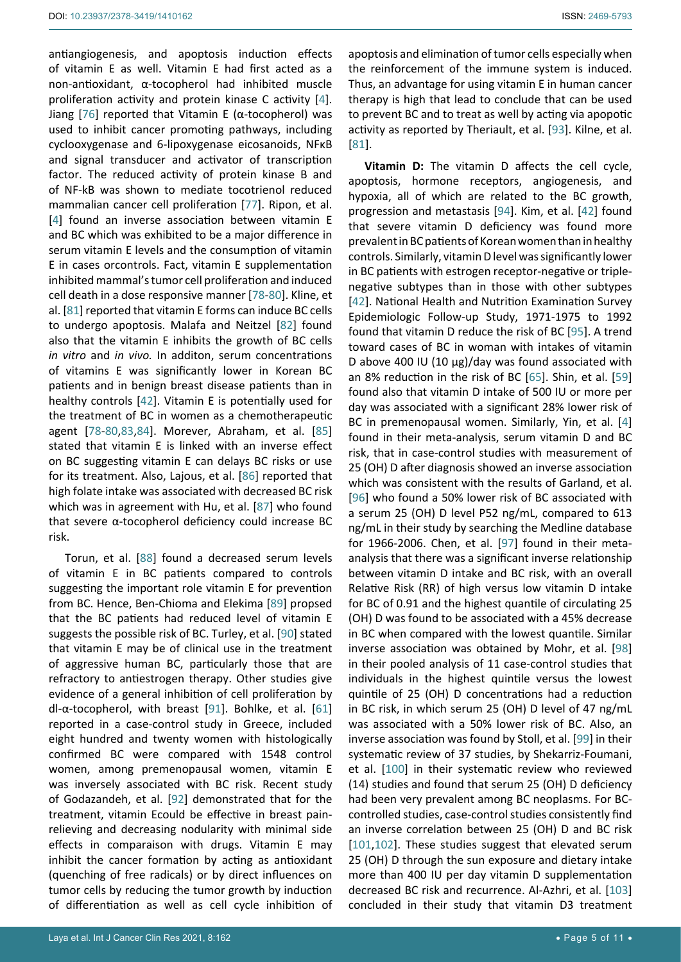antiangiogenesis, and apoptosis induction effects of vitamin E as well. Vitamin E had first acted as a non-antioxidant, α-tocopherol had inhibited muscle proliferation activity and protein kinase C activity [[4](#page-6-3)]. Jiang [[76](#page-8-24)] reported that Vitamin E ( $α$ -tocopherol) was used to inhibit cancer promoting pathways, including cyclooxygenase and 6-lipoxygenase eicosanoids, NFκB and signal transducer and activator of transcription factor. The reduced activity of protein kinase B and of NF-kB was shown to mediate tocotrienol reduced mammalian cancer cell proliferation [[77](#page-8-25)]. Ripon, et al. [[4](#page-6-3)] found an inverse association between vitamin E and BC which was exhibited to be a major difference in serum vitamin E levels and the consumption of vitamin E in cases orcontrols. Fact, vitamin E supplementation inhibited mammal's tumor cell proliferation and induced cell death in a dose responsive manner [\[78-](#page-8-26)[80](#page-8-27)]. Kline, et al. [\[81](#page-8-23)] reported that vitamin E forms can induce BC cells to undergo apoptosis. Malafa and Neitzel [[82](#page-8-28)] found also that the vitamin E inhibits the growth of BC cells *in vitro* and *in vivo.* In additon, serum concentrations of vitamins E was significantly lower in Korean BC patients and in benign breast disease patients than in healthy controls [[42](#page-7-29)]. Vitamin E is potentially used for the treatment of BC in women as a chemotherapeutic agent [\[78-](#page-8-26)[80](#page-8-27),[83,](#page-8-29)[84\]](#page-8-30). Morever, Abraham, et al. [\[85](#page-9-11)] stated that vitamin E is linked with an inverse effect on BC suggesting vitamin E can delays BC risks or use for its treatment. Also, Lajous, et al. [[86](#page-9-12)] reported that high folate intake was associated with decreased BC risk which was in agreement with Hu, et al. [\[87](#page-9-13)] who found that severe α-tocopherol deficiency could increase BC risk.

Torun, et al. [\[88](#page-9-14)] found a decreased serum levels of vitamin E in BC patients compared to controls suggesting the important role vitamin E for prevention from BC. Hence, Ben-Chioma and Elekima [[89\]](#page-9-15) propsed that the BC patients had reduced level of vitamin E suggests the possible risk of BC. Turley, et al. [[90\]](#page-9-16) stated that vitamin E may be of clinical use in the treatment of aggressive human BC, particularly those that are refractory to antiestrogen therapy. Other studies give evidence of a general inhibition of cell proliferation by dl-α-tocopherol, with breast [[91](#page-9-17)]. Bohlke, et al. [\[61](#page-8-10)] reported in a case-control study in Greece, included eight hundred and twenty women with histologically confirmed BC were compared with 1548 control women, among premenopausal women, vitamin E was inversely associated with BC risk. Recent study of Godazandeh, et al. [[92](#page-9-18)] demonstrated that for the treatment, vitamin Ecould be effective in breast painrelieving and decreasing nodularity with minimal side effects in comparaison with drugs. Vitamin E may inhibit the cancer formation by acting as antioxidant (quenching of free radicals) or by direct influences on tumor cells by reducing the tumor growth by induction of differentiation as well as cell cycle inhibition of apoptosis and elimination of tumor cells especially when the reinforcement of the immune system is induced. Thus, an advantage for using vitamin E in human cancer therapy is high that lead to conclude that can be used to prevent BC and to treat as well by acting via apopotic activity as reported by Theriault, et al. [[93\]](#page-9-0). Kilne, et al. [\[81](#page-8-23)].

**Vitamin D:** The vitamin D affects the cell cycle, apoptosis, hormone receptors, angiogenesis, and hypoxia, all of which are related to the BC growth, progression and metastasis [\[94](#page-9-1)]. Kim, et al. [\[42](#page-7-29)] found that severe vitamin D deficiency was found more prevalent in BC patients of Korean women than in healthy controls. Similarly, vitamin D level was significantly lower in BC patients with estrogen receptor-negative or triplenegative subtypes than in those with other subtypes [\[42](#page-7-29)]. National Health and Nutrition Examination Survey Epidemiologic Follow-up Study, 1971-1975 to 1992 found that vitamin D reduce the risk of BC [[95](#page-9-2)]. A trend toward cases of BC in woman with intakes of vitamin D above 400 IU (10 μg)/day was found associated with an 8% reduction in the risk of BC [[65\]](#page-8-19). Shin, et al. [\[59](#page-8-14)] found also that vitamin D intake of 500 IU or more per day was associated with a significant 28% lower risk of BC in premenopausal women. Similarly, Yin, et al. [[4](#page-6-3)] found in their meta-analysis, serum vitamin D and BC risk, that in case-control studies with measurement of 25 (OH) D after diagnosis showed an inverse association which was consistent with the results of Garland, et al. [\[96](#page-9-3)] who found a 50% lower risk of BC associated with a serum 25 (OH) D level P52 ng/mL, compared to 613 ng/mL in their study by searching the Medline database for 1966-2006. Chen, et al. [[97](#page-9-4)] found in their metaanalysis that there was a significant inverse relationship between vitamin D intake and BC risk, with an overall Relative Risk (RR) of high versus low vitamin D intake for BC of 0.91 and the highest quantile of circulating 25 (OH) D was found to be associated with a 45% decrease in BC when compared with the lowest quantile. Similar inverse association was obtained by Mohr, et al. [[98](#page-9-5)] in their pooled analysis of 11 case-control studies that individuals in the highest quintile versus the lowest quintile of 25 (OH) D concentrations had a reduction in BC risk, in which serum 25 (OH) D level of 47 ng/mL was associated with a 50% lower risk of BC. Also, an inverse association was found by Stoll, et al. [\[99](#page-9-6)] in their systematic review of 37 studies, by Shekarriz-Foumani, et al. [[100](#page-9-7)] in their systematic review who reviewed (14) studies and found that serum 25 (OH) D deficiency had been very prevalent among BC neoplasms. For BCcontrolled studies, case-control studies consistently find an inverse correlation between 25 (OH) D and BC risk [\[101,](#page-9-8)[102](#page-9-9)]. These studies suggest that elevated serum 25 (OH) D through the sun exposure and dietary intake more than 400 IU per day vitamin D supplementation decreased BC risk and recurrence. Al-Azhri, et al. [[103](#page-9-10)] concluded in their study that vitamin D3 treatment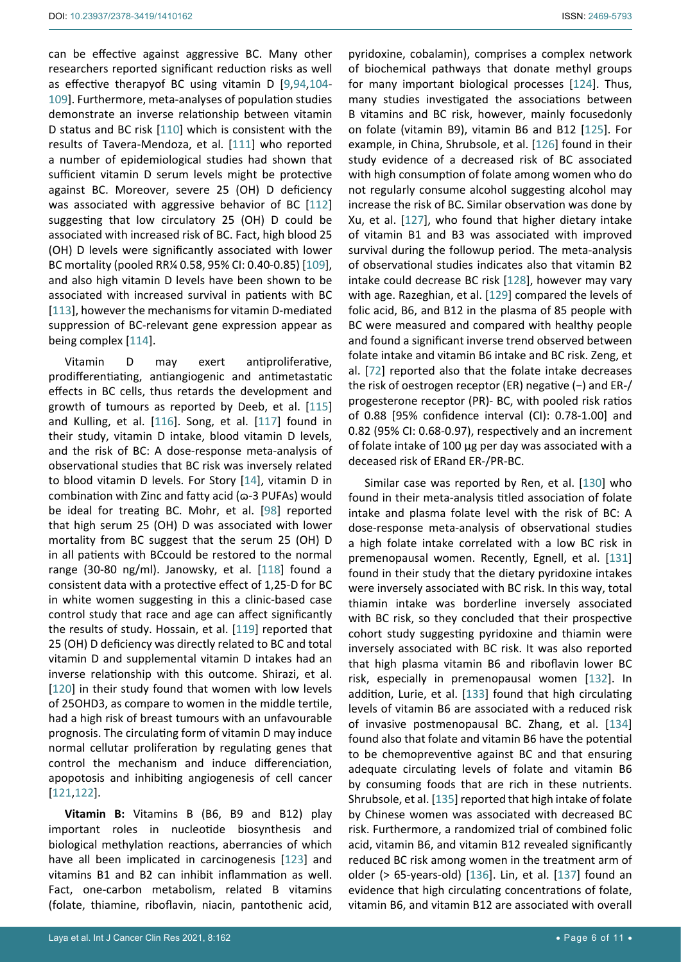can be effective against aggressive BC. Many other researchers reported significant reduction risks as well as effective therapyof BC using vitamin D [[9,](#page-6-5)[94](#page-9-1)[,104](#page-9-19)- [109](#page-9-20)]. Furthermore, meta-analyses of population studies demonstrate an inverse relationship between vitamin D status and BC risk [[110\]](#page-9-21) which is consistent with the results of Tavera-Mendoza, et al. [[111\]](#page-9-22) who reported a number of epidemiological studies had shown that sufficient vitamin D serum levels might be protective against BC. Moreover, severe 25 (OH) D deficiency was associated with aggressive behavior of BC [[112](#page-9-23)] suggesting that low circulatory 25 (OH) D could be associated with increased risk of BC. Fact, high blood 25 (OH) D levels were significantly associated with lower BC mortality (pooled RR¼ 0.58, 95% CI: 0.40-0.85) [[109](#page-9-20)], and also high vitamin D levels have been shown to be associated with increased survival in patients with BC [[113](#page-9-24)], however the mechanisms for vitamin D-mediated suppression of BC-relevant gene expression appear as being complex [\[114](#page-9-25)].

Vitamin D may exert antiproliferative, prodifferentiating, antiangiogenic and antimetastatic effects in BC cells, thus retards the development and growth of tumours as reported by Deeb, et al. [[115](#page-9-26)] and Kulling, et al. [\[116\]](#page-9-27). Song, et al. [[117](#page-9-28)] found in their study, vitamin D intake, blood vitamin D levels, and the risk of BC: A dose-response meta-analysis of observational studies that BC risk was inversely related to blood vitamin D levels. For Story [[14](#page-6-7)], vitamin D in combination with Zinc and fatty acid ( $\omega$ -3 PUFAs) would be ideal for treating BC. Mohr, et al. [[98](#page-9-5)] reported that high serum 25 (OH) D was associated with lower mortality from BC suggest that the serum 25 (OH) D in all patients with BCcould be restored to the normal range (30-80 ng/ml). Janowsky, et al. [[118](#page-9-29)] found a consistent data with a protective effect of 1,25-D for BC in white women suggesting in this a clinic-based case control study that race and age can affect significantly the results of study. Hossain, et al. [[119\]](#page-9-30) reported that 25 (OH) D deficiency was directly related to BC and total vitamin D and supplemental vitamin D intakes had an inverse relationship with this outcome. Shirazi, et al. [[120](#page-10-14)] in their study found that women with low levels of 25OHD3, as compare to women in the middle tertile, had a high risk of breast tumours with an unfavourable prognosis. The circulating form of vitamin D may induce normal cellutar proliferation by regulating genes that control the mechanism and induce differenciation, apopotosis and inhibiting angiogenesis of cell cancer [[121,](#page-10-15)[122](#page-10-16)].

**Vitamin B:** Vitamins B (B6, B9 and B12) play important roles in nucleotide biosynthesis and biological methylation reactions, aberrancies of which have all been implicated in carcinogenesis [[123\]](#page-10-17) and vitamins B1 and B2 can inhibit inflammation as well. Fact, one-carbon metabolism, related B vitamins (folate, thiamine, riboflavin, niacin, pantothenic acid,

pyridoxine, cobalamin), comprises a complex network of biochemical pathways that donate methyl groups for many important biological processes [[124\]](#page-10-0). Thus, many studies investigated the associations between B vitamins and BC risk, however, mainly focusedonly on folate (vitamin B9), vitamin B6 and B12 [[125](#page-10-1)]. For example, in China, Shrubsole, et al. [\[126](#page-10-2)] found in their study evidence of a decreased risk of BC associated with high consumption of folate among women who do not regularly consume alcohol suggesting alcohol may increase the risk of BC. Similar observation was done by Xu, et al. [[127](#page-10-3)], who found that higher dietary intake of vitamin B1 and B3 was associated with improved survival during the followup period. The meta-analysis of observational studies indicates also that vitamin B2 intake could decrease BC risk [\[128](#page-10-4)], however may vary with age. Razeghian, et al. [[129](#page-10-5)] compared the levels of folic acid, B6, and B12 in the plasma of 85 people with BC were measured and compared with healthy people and found a significant inverse trend observed between folate intake and vitamin B6 intake and BC risk. Zeng, et al. [\[72](#page-8-8)] reported also that the folate intake decreases the risk of oestrogen receptor (ER) negative (−) and ER-/ progesterone receptor (PR)- BC, with pooled risk ratios of 0.88 [95% confidence interval (CI): 0.78-1.00] and 0.82 (95% CI: 0.68-0.97), respectively and an increment of folate intake of 100 μg per day was associated with a deceased risk of ERand ER-/PR-BC.

Similar case was reported by Ren, et al. [[130](#page-10-6)] who found in their meta-analysis titled association of folate intake and plasma folate level with the risk of BC: A dose-response meta-analysis of observational studies a high folate intake correlated with a low BC risk in premenopausal women. Recently, Egnell, et al. [[131](#page-10-7)] found in their study that the dietary pyridoxine intakes were inversely associated with BC risk. In this way, total thiamin intake was borderline inversely associated with BC risk, so they concluded that their prospective cohort study suggesting pyridoxine and thiamin were inversely associated with BC risk. It was also reported that high plasma vitamin B6 and riboflavin lower BC risk, especially in premenopausal women [[132](#page-10-8)]. In addition, Lurie, et al. [[133](#page-10-9)] found that high circulating levels of vitamin B6 are associated with a reduced risk of invasive postmenopausal BC. Zhang, et al. [[134](#page-10-10)] found also that folate and vitamin B6 have the potential to be chemopreventive against BC and that ensuring adequate circulating levels of folate and vitamin B6 by consuming foods that are rich in these nutrients. Shrubsole, et al. [[135](#page-10-11)] reported that high intake of folate by Chinese women was associated with decreased BC risk. Furthermore, a randomized trial of combined folic acid, vitamin B6, and vitamin B12 revealed significantly reduced BC risk among women in the treatment arm of older (> 65-years-old) [[136\]](#page-10-12). Lin, et al. [[137](#page-10-13)] found an evidence that high circulating concentrations of folate, vitamin B6, and vitamin B12 are associated with overall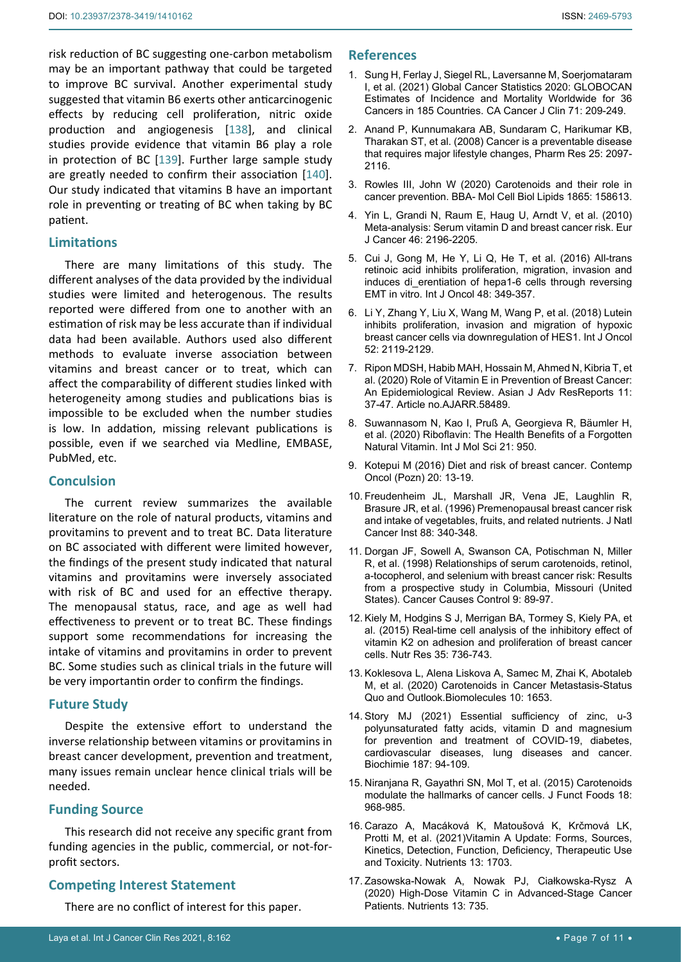risk reduction of BC suggesting one-carbon metabolism may be an important pathway that could be targeted to improve BC survival. Another experimental study suggested that vitamin B6 exerts other anticarcinogenic effects by reducing cell proliferation, nitric oxide production and angiogenesis [[138\]](#page-10-18), and clinical studies provide evidence that vitamin B6 play a role in protection of BC [[139](#page-10-19)]. Further large sample study are greatly needed to confirm their association [[140](#page-10-20)]. Our study indicated that vitamins B have an important role in preventing or treating of BC when taking by BC patient.

# **Limitations**

There are many limitations of this study. The different analyses of the data provided by the individual studies were limited and heterogenous. The results reported were differed from one to another with an estimation of risk may be less accurate than if individual data had been available. Authors used also different methods to evaluate inverse association between vitamins and breast cancer or to treat, which can affect the comparability of different studies linked with heterogeneity among studies and publications bias is impossible to be excluded when the number studies is low. In addation, missing relevant publications is possible, even if we searched via Medline, EMBASE, PubMed, etc.

# **Conculsion**

The current review summarizes the available literature on the role of natural products, vitamins and provitamins to prevent and to treat BC. Data literature on BC associated with different were limited however, the findings of the present study indicated that natural vitamins and provitamins were inversely associated with risk of BC and used for an effective therapy. The menopausal status, race, and age as well had effectiveness to prevent or to treat BC. These findings support some recommendations for increasing the intake of vitamins and provitamins in order to prevent BC. Some studies such as clinical trials in the future will be very importantin order to confirm the findings.

# **Future Study**

Despite the extensive effort to understand the inverse relationship between vitamins or provitamins in breast cancer development, prevention and treatment, many issues remain unclear hence clinical trials will be needed.

# **Funding Source**

This research did not receive any specific grant from funding agencies in the public, commercial, or not-forprofit sectors.

# **Competing Interest Statement**

There are no conflict of interest for this paper.

# **References**

- <span id="page-6-0"></span>1. [Sung H, Ferlay J, Siegel RL, Laversanne M, Soerjomataram](https://acsjournals.onlinelibrary.wiley.com/doi/full/10.3322/caac.21660)  [I, et al. \(2021\) Global Cancer Statistics 2020: GLOBOCAN](https://acsjournals.onlinelibrary.wiley.com/doi/full/10.3322/caac.21660)  [Estimates of Incidence and Mortality Worldwide for 36](https://acsjournals.onlinelibrary.wiley.com/doi/full/10.3322/caac.21660)  [Cancers in 185 Countries. CA Cancer J Clin 71: 209-249.](https://acsjournals.onlinelibrary.wiley.com/doi/full/10.3322/caac.21660)
- <span id="page-6-1"></span>2. [Anand P, Kunnumakara AB, Sundaram C, Harikumar KB,](https://www.ncbi.nlm.nih.gov/pmc/articles/PMC2515569/)  [Tharakan ST, et al. \(2008\) Cancer is a preventable disease](https://www.ncbi.nlm.nih.gov/pmc/articles/PMC2515569/)  [that requires major lifestyle changes, Pharm Res 25: 2097-](https://www.ncbi.nlm.nih.gov/pmc/articles/PMC2515569/) [2116.](https://www.ncbi.nlm.nih.gov/pmc/articles/PMC2515569/)
- <span id="page-6-2"></span>3. [Rowles III, John W \(2020\) Carotenoids and their role in](https://pubmed.ncbi.nlm.nih.gov/31935448/)  [cancer prevention. BBA- Mol Cell Biol Lipids 1865: 158613.](https://pubmed.ncbi.nlm.nih.gov/31935448/)
- <span id="page-6-3"></span>4. [Yin L, Grandi N, Raum E, Haug U, Arndt V, et al. \(2010\)](https://pubmed.ncbi.nlm.nih.gov/20456946/)  [Meta-analysis: Serum vitamin D and breast cancer risk. Eur](https://pubmed.ncbi.nlm.nih.gov/20456946/)  [J Cancer 46: 2196-2205.](https://pubmed.ncbi.nlm.nih.gov/20456946/)
- 5. [Cui J, Gong M, He Y, Li Q, He T, et al. \(2016\) All-trans](https://pubmed.ncbi.nlm.nih.gov/26548461/)  [retinoic acid inhibits proliferation, migration, invasion and](https://pubmed.ncbi.nlm.nih.gov/26548461/)  induces di erentiation of hepa1-6 cells through reversing [EMT in vitro. Int J Oncol 48: 349-357.](https://pubmed.ncbi.nlm.nih.gov/26548461/)
- 6. [Li Y, Zhang Y, Liu X, Wang M, Wang P, et al. \(2018\) Lutein](https://pubmed.ncbi.nlm.nih.gov/29620169/)  [inhibits proliferation, invasion and migration of hypoxic](https://pubmed.ncbi.nlm.nih.gov/29620169/)  [breast cancer cells via downregulation of HES1. Int J Oncol](https://pubmed.ncbi.nlm.nih.gov/29620169/)  [52: 2119-2129.](https://pubmed.ncbi.nlm.nih.gov/29620169/)
- 7. [Ripon MDSH, Habib MAH, Hossain M, Ahmed N, Kibria T, et](https://www.journalajarr.com/index.php/AJARR/article/view/30266)  [al. \(2020\) Role of Vitamin E in Prevention of Breast Cancer:](https://www.journalajarr.com/index.php/AJARR/article/view/30266)  [An Epidemiological Review. Asian J Adv ResReports 11:](https://www.journalajarr.com/index.php/AJARR/article/view/30266)  [37-47. Article no.AJARR.58489.](https://www.journalajarr.com/index.php/AJARR/article/view/30266)
- <span id="page-6-4"></span>8. [Suwannasom N, Kao I, Pruß A, Georgieva R, Bäumler H,](https://pubmed.ncbi.nlm.nih.gov/32023913/)  et al. [\(2020\) Riboflavin: The Health Benefits of a Forgotten](https://pubmed.ncbi.nlm.nih.gov/32023913/)  [Natural Vitamin. Int J Mol Sci 21: 950.](https://pubmed.ncbi.nlm.nih.gov/32023913/)
- <span id="page-6-5"></span>9. [Kotepui M \(2016\) Diet and risk of breast cancer. Contemp](https://www.ncbi.nlm.nih.gov/pmc/articles/PMC4829739/)  [Oncol \(Pozn\) 20: 13-19.](https://www.ncbi.nlm.nih.gov/pmc/articles/PMC4829739/)
- <span id="page-6-6"></span>10. [Freudenheim JL, Marshall JR, Vena JE, Laughlin R,](https://pubmed.ncbi.nlm.nih.gov/8609642/)  [Brasure JR, et al. \(1996\) Premenopausal breast cancer risk](https://pubmed.ncbi.nlm.nih.gov/8609642/)  [and intake of vegetables, fruits, and related nutrients. J Natl](https://pubmed.ncbi.nlm.nih.gov/8609642/)  [Cancer Inst 88: 340-348.](https://pubmed.ncbi.nlm.nih.gov/8609642/)
- 11. [Dorgan JF, Sowell A, Swanson CA, Potischman N, Miller](https://pubmed.ncbi.nlm.nih.gov/9486468/)  [R, et al. \(1998\) Relationships of serum carotenoids, retinol,](https://pubmed.ncbi.nlm.nih.gov/9486468/)  [a-tocopherol, and selenium with breast cancer risk: Results](https://pubmed.ncbi.nlm.nih.gov/9486468/)  [from a prospective study in Columbia, Missouri \(United](https://pubmed.ncbi.nlm.nih.gov/9486468/)  [States\). Cancer Causes Control 9: 89-97.](https://pubmed.ncbi.nlm.nih.gov/9486468/)
- 12. [Kiely M, Hodgins S J, Merrigan BA, Tormey S, Kiely PA, et](https://pubmed.ncbi.nlm.nih.gov/26082424/)  [al. \(2015\) Real-time cell analysis of the inhibitory effect of](https://pubmed.ncbi.nlm.nih.gov/26082424/)  [vitamin K2 on adhesion and proliferation of breast cancer](https://pubmed.ncbi.nlm.nih.gov/26082424/)  [cells. Nutr Res 35: 736-743.](https://pubmed.ncbi.nlm.nih.gov/26082424/)
- 13. [Koklesova L, Alena Liskova A, Samec M, Zhai K, Abotaleb](https://pubmed.ncbi.nlm.nih.gov/33321708/)  [M, et al. \(2020\) Carotenoids in Cancer Metastasis-Status](https://pubmed.ncbi.nlm.nih.gov/33321708/)  [Quo and Outlook.Biomolecules 10: 1653.](https://pubmed.ncbi.nlm.nih.gov/33321708/)
- <span id="page-6-7"></span>14. [Story MJ \(2021\) Essential sufficiency of zinc, u-3](https://pubmed.ncbi.nlm.nih.gov/34082041/)  [polyunsaturated fatty acids, vitamin D and magnesium](https://pubmed.ncbi.nlm.nih.gov/34082041/)  [for prevention and treatment of COVID-19, diabetes,](https://pubmed.ncbi.nlm.nih.gov/34082041/)  [cardiovascular diseases, lung diseases and cancer.](https://pubmed.ncbi.nlm.nih.gov/34082041/)  [Biochimie 187: 94-109.](https://pubmed.ncbi.nlm.nih.gov/34082041/)
- <span id="page-6-8"></span>15. Niranjana R, Gayathri SN, Mol T, et al. (2015) Carotenoids modulate the hallmarks of cancer cells. J Funct Foods 18: 968-985.
- 16. [Carazo A, Macáková K, Matoušová K, Krčmová LK,](https://www.ncbi.nlm.nih.gov/pmc/articles/PMC8157347/)  [Protti M, et al. \(2021\)Vitamin A Update: Forms, Sources,](https://www.ncbi.nlm.nih.gov/pmc/articles/PMC8157347/)  [Kinetics, Detection, Function, Deficiency, Therapeutic Use](https://www.ncbi.nlm.nih.gov/pmc/articles/PMC8157347/)  [and Toxicity. Nutrients 13: 1703.](https://www.ncbi.nlm.nih.gov/pmc/articles/PMC8157347/)
- <span id="page-6-9"></span>17. [Zasowska-Nowak A, Nowak PJ, Ciałkowska-Rysz A](https://pubmed.ncbi.nlm.nih.gov/33652579/)  (2020) [High-Dose Vitamin C in Advanced-Stage Cancer](https://pubmed.ncbi.nlm.nih.gov/33652579/)  [Patients. Nutrients 13: 735.](https://pubmed.ncbi.nlm.nih.gov/33652579/)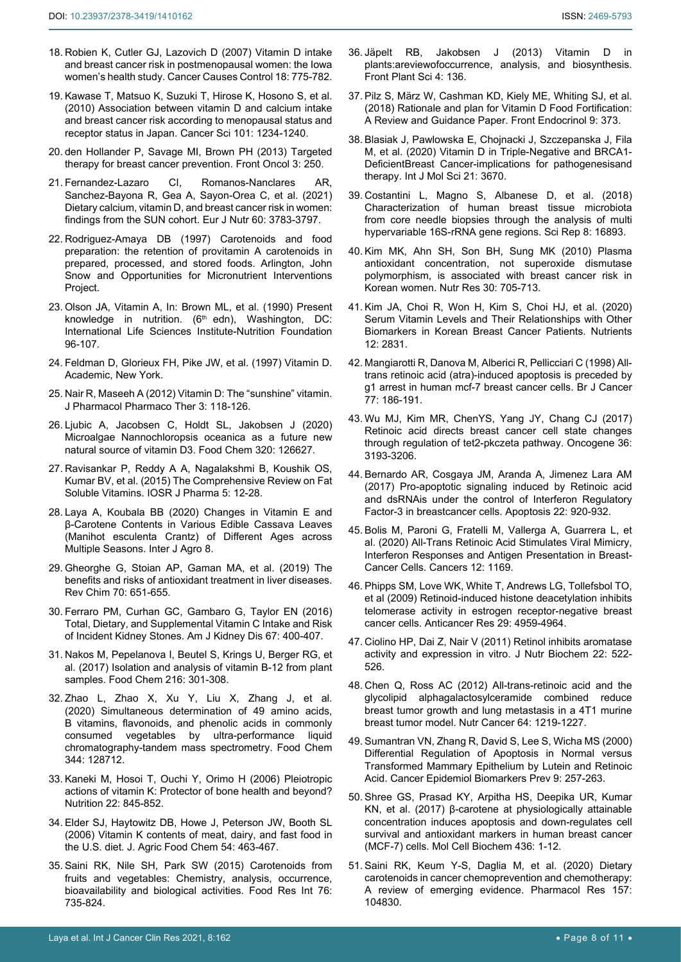- <span id="page-7-0"></span>18. [Robien K, Cutler GJ, Lazovich D \(2007\) Vitamin D intake](https://pubmed.ncbi.nlm.nih.gov/17549593/)  [and breast cancer risk in postmenopausal women: the Iowa](https://pubmed.ncbi.nlm.nih.gov/17549593/)  [women's health study. Cancer Causes Control 18: 775-782.](https://pubmed.ncbi.nlm.nih.gov/17549593/)
- 19. [Kawase T, Matsuo K, Suzuki T, Hirose K, Hosono S, et al.](https://pubmed.ncbi.nlm.nih.gov/20151981/)  [\(2010\) Association between vitamin D and calcium intake](https://pubmed.ncbi.nlm.nih.gov/20151981/)  [and breast cancer risk according to menopausal status and](https://pubmed.ncbi.nlm.nih.gov/20151981/)  [receptor status in Japan. Cancer Sci 101: 1234-1240.](https://pubmed.ncbi.nlm.nih.gov/20151981/)
- 20. [den Hollander P, Savage MI, Brown PH \(2013\) Targeted](https://pubmed.ncbi.nlm.nih.gov/24069582/)  [therapy for breast cancer prevention. Front Oncol 3: 250.](https://pubmed.ncbi.nlm.nih.gov/24069582/)
- <span id="page-7-1"></span>21. [Fernandez-Lazaro CI, Romanos-Nanclares AR,](https://pubmed.ncbi.nlm.nih.gov/33818633/)  [Sanchez-Bayona R, Gea A, Sayon-Orea C, et al. \(2021\)](https://pubmed.ncbi.nlm.nih.gov/33818633/)  [Dietary calcium, vitamin D, and breast cancer risk in women:](https://pubmed.ncbi.nlm.nih.gov/33818633/)  [findings from the SUN cohort. Eur J Nutr 60: 3783-3797.](https://pubmed.ncbi.nlm.nih.gov/33818633/)
- <span id="page-7-2"></span>22. Rodriguez-Amaya DB (1997) Carotenoids and food preparation: the retention of provitamin A carotenoids in prepared, processed, and stored foods. Arlington, John Snow and Opportunities for Micronutrient Interventions Project.
- <span id="page-7-3"></span>23. Olson JA, Vitamin A, In: Brown ML, et al. (1990) Present knowledge in nutrition.  $(6<sup>th</sup> edn)$ , Washington, DC: International Life Sciences Institute-Nutrition Foundation 96-107.
- <span id="page-7-4"></span>24. Feldman D, Glorieux FH, Pike JW, et al. (1997) Vitamin D. Academic, New York.
- 25. [Nair R, Maseeh A \(2012\) Vitamin D: The "sunshine" vitamin.](https://www.ncbi.nlm.nih.gov/pmc/articles/PMC3356951/)  [J Pharmacol Pharmaco Ther 3: 118-126.](https://www.ncbi.nlm.nih.gov/pmc/articles/PMC3356951/)
- <span id="page-7-5"></span>26. [Ljubic A, Jacobsen C, Holdt SL, Jakobsen J \(2020\)](https://pubmed.ncbi.nlm.nih.gov/32213421/)  [Microalgae Nannochloropsis oceanica as a future new](https://pubmed.ncbi.nlm.nih.gov/32213421/)  [natural source of vitamin D3. Food Chem 320: 126627.](https://pubmed.ncbi.nlm.nih.gov/32213421/)
- <span id="page-7-6"></span>27. [Ravisankar P, Reddy A A, Nagalakshmi B, Koushik OS,](http://www.iosrphr.org/papers/v5i11/D0511012028.pdf)  [Kumar BV, et al. \(2015\) The Comprehensive Review on Fat](http://www.iosrphr.org/papers/v5i11/D0511012028.pdf)  [Soluble Vitamins. IOSR J Pharma](http://www.iosrphr.org/papers/v5i11/D0511012028.pdf) 5: 12-28.
- <span id="page-7-7"></span>28. [Laya A, Koubala BB \(2020\) Changes in Vitamin E and](https://www.hindawi.com/journals/ija/2020/4671018/)  [β-Carotene Contents in Various Edible Cassava Leaves](https://www.hindawi.com/journals/ija/2020/4671018/)  [\(Manihot esculenta Crantz\) of Different Ages across](https://www.hindawi.com/journals/ija/2020/4671018/)  [Multiple Seasons. Inter J Agro 8.](https://www.hindawi.com/journals/ija/2020/4671018/)
- <span id="page-7-8"></span>29. Gheorghe G, Stoian AP, Gaman MA, et al. (2019) The benefits and risks of antioxidant treatment in liver diseases. Rev Chim 70: 651-655.
- <span id="page-7-9"></span>30. [Ferraro PM, Curhan GC, Gambaro G, Taylor EN \(2016\)](https://pubmed.ncbi.nlm.nih.gov/26463139/)  [Total, Dietary, and Supplemental Vitamin C Intake and Risk](https://pubmed.ncbi.nlm.nih.gov/26463139/)  [of Incident Kidney Stones. Am J Kidney Dis 67: 400-407.](https://pubmed.ncbi.nlm.nih.gov/26463139/)
- <span id="page-7-10"></span>31. [Nakos M, Pepelanova I, Beutel S, Krings U, Berger RG, et](https://pubmed.ncbi.nlm.nih.gov/27596424/)  [al. \(2017\) Isolation and analysis of vitamin B-12 from plant](https://pubmed.ncbi.nlm.nih.gov/27596424/)  [samples. Food Chem 216: 301-308.](https://pubmed.ncbi.nlm.nih.gov/27596424/)
- <span id="page-7-11"></span>32. Zhao L, Zhao X, Xu Y, Liu X, Zhang J, et al. (2020) Simultaneous determination of 49 amino acids, B vitamins, flavonoids, and phenolic acids in commonly consumed vegetables by ultra-performance liquid chromatography-tandem mass spectrometry. Food Chem 344: 128712.
- <span id="page-7-20"></span>33. [Kaneki M, Hosoi T, Ouchi Y, Orimo H \(2006\) Pleiotropic](https://pubmed.ncbi.nlm.nih.gov/16815498/)  [actions of vitamin K: Protector of bone health and beyond?](https://pubmed.ncbi.nlm.nih.gov/16815498/)  [Nutrition 22: 845-852.](https://pubmed.ncbi.nlm.nih.gov/16815498/)
- <span id="page-7-21"></span>34. [Elder SJ, Haytowitz DB, Howe J, Peterson JW, Booth SL](https://pubmed.ncbi.nlm.nih.gov/16417305/)  [\(2006\) Vitamin K contents of meat, dairy, and fast food in](https://pubmed.ncbi.nlm.nih.gov/16417305/)  [the U.S. diet. J. Agric Food Chem 54: 463-467.](https://pubmed.ncbi.nlm.nih.gov/16417305/)
- <span id="page-7-22"></span>35. [Saini RK, Nile SH, Park SW \(2015\) Carotenoids from](https://pubmed.ncbi.nlm.nih.gov/28455059/)  [fruits and vegetables: Chemistry, analysis, occurrence,](https://pubmed.ncbi.nlm.nih.gov/28455059/)  [bioavailability and biological activities. Food Res Int 76:](https://pubmed.ncbi.nlm.nih.gov/28455059/)  [735-824.](https://pubmed.ncbi.nlm.nih.gov/28455059/)
- <span id="page-7-23"></span>36. [Jäpelt RB, Jakobsen J \(2013\) Vitamin D in](https://pubmed.ncbi.nlm.nih.gov/23717318/)  [plants:areviewofoccurrence, analysis, and biosynthesis.](https://pubmed.ncbi.nlm.nih.gov/23717318/)  [Front Plant Sci 4: 136.](https://pubmed.ncbi.nlm.nih.gov/23717318/)
- <span id="page-7-24"></span>37. [Pilz S, März W, Cashman KD, Kiely ME, Whiting SJ, et al.](https://pubmed.ncbi.nlm.nih.gov/30065699/)  [\(2018\) Rationale and plan for Vitamin D Food Fortification:](https://pubmed.ncbi.nlm.nih.gov/30065699/)  [A Review and Guidance Paper. Front Endocrinol 9: 373.](https://pubmed.ncbi.nlm.nih.gov/30065699/)
- <span id="page-7-25"></span>38. [Blasiak J, Pawlowska E, Chojnacki J, Szczepanska J, Fila](https://pubmed.ncbi.nlm.nih.gov/32456160/)  M, et al. (2020) [Vitamin D in Triple-Negative and BRCA1-](https://pubmed.ncbi.nlm.nih.gov/32456160/) [DeficientBreast Cancer-implications for pathogenesisand](https://pubmed.ncbi.nlm.nih.gov/32456160/)  [therapy. Int J Mol Sci 21: 3670.](https://pubmed.ncbi.nlm.nih.gov/32456160/)
- <span id="page-7-26"></span>39. Costantini L, Magno S, Albanese D, et al. (2018) Characterization of human breast tissue microbiota from core needle biopsies through the analysis of multi hypervariable 16S-rRNA gene regions. Sci Rep 8: 16893.
- <span id="page-7-27"></span>40. [Kim MK, Ahn SH, Son BH, Sung MK \(2010\) Plasma](https://pubmed.ncbi.nlm.nih.gov/21056286/)  [antioxidant concentration, not superoxide dismutase](https://pubmed.ncbi.nlm.nih.gov/21056286/)  [polymorphism, is associated with breast cancer risk in](https://pubmed.ncbi.nlm.nih.gov/21056286/)  [Korean women. Nutr Res 30: 705-713.](https://pubmed.ncbi.nlm.nih.gov/21056286/)
- <span id="page-7-28"></span>41. Kim JA, Choi R, Won H, [Kim S, Choi HJ, et al. \(2020\)](https://pubmed.ncbi.nlm.nih.gov/32947849/)  [Serum Vitamin Levels and Their Relationships with Other](https://pubmed.ncbi.nlm.nih.gov/32947849/)  [Biomarkers in Korean Breast Cancer Patients. Nutrients](https://pubmed.ncbi.nlm.nih.gov/32947849/)  [12: 2831.](https://pubmed.ncbi.nlm.nih.gov/32947849/)
- <span id="page-7-29"></span>42. [Mangiarotti R, Danova M, Alberici R, Pellicciari C \(1998\) All](https://www.nature.com/articles/bjc199832)[trans retinoic acid \(atra\)-induced apoptosis is preceded by](https://www.nature.com/articles/bjc199832)  [g1 arrest in human mcf-7 breast cancer cells. Br J Cancer](https://www.nature.com/articles/bjc199832)  [77: 186-191.](https://www.nature.com/articles/bjc199832)
- <span id="page-7-30"></span>43. [Wu MJ, Kim MR, ChenYS, Yang JY, Chang CJ \(2017\)](https://www.nature.com/articles/onc2016467)  [Retinoic acid directs breast cancer cell state changes](https://www.nature.com/articles/onc2016467)  [through regulation of tet2-pkczeta pathway. Oncogene](https://www.nature.com/articles/onc2016467) 36: [3193-3206.](https://www.nature.com/articles/onc2016467)
- <span id="page-7-12"></span>44. [Bernardo AR, Cosgaya JM, Aranda A, Jimenez Lara AM](https://pubmed.ncbi.nlm.nih.gov/28409399/)  [\(2017\) Pro-apoptotic signaling induced by Retinoic acid](https://pubmed.ncbi.nlm.nih.gov/28409399/)  [and dsRNAis under the control of Interferon Regulatory](https://pubmed.ncbi.nlm.nih.gov/28409399/)  [Factor-3 in breastcancer cells. Apoptosis 22: 920-932.](https://pubmed.ncbi.nlm.nih.gov/28409399/)
- <span id="page-7-13"></span>45. [Bolis M, Paroni G, Fratelli M, Vallerga A, Guarrera L, et](https://pubmed.ncbi.nlm.nih.gov/32384653/)  [al. \(2020\) All-Trans Retinoic Acid Stimulates Viral Mimicry,](https://pubmed.ncbi.nlm.nih.gov/32384653/)  [Interferon Responses and Antigen Presentation in Breast-](https://pubmed.ncbi.nlm.nih.gov/32384653/)[Cancer Cells. Cancers 12: 1169.](https://pubmed.ncbi.nlm.nih.gov/32384653/)
- <span id="page-7-14"></span>46. [Phipps SM, Love WK, White T, Andrews LG, Tollefsbol TO,](https://pubmed.ncbi.nlm.nih.gov/20044602/)  [et al \(2009\) Retinoid-induced histone deacetylation inhibits](https://pubmed.ncbi.nlm.nih.gov/20044602/)  [telomerase activity in estrogen receptor-negative breast](https://pubmed.ncbi.nlm.nih.gov/20044602/)  [cancer cells. Anticancer Res 29: 4959-4964.](https://pubmed.ncbi.nlm.nih.gov/20044602/)
- <span id="page-7-15"></span>47. [Ciolino HP, Dai Z, Nair V \(2011\) Retinol inhibits aromatase](https://pubmed.ncbi.nlm.nih.gov/20685100/)  [activity and expression in vitro. J Nutr Biochem](https://pubmed.ncbi.nlm.nih.gov/20685100/) 22: 522- [526.](https://pubmed.ncbi.nlm.nih.gov/20685100/)
- <span id="page-7-16"></span>48. [Chen Q, Ross AC \(2012\) All-trans-retinoic acid and the](https://pubmed.ncbi.nlm.nih.gov/23163850/)  [glycolipid alphagalactosylceramide combined reduce](https://pubmed.ncbi.nlm.nih.gov/23163850/)  [breast tumor growth and lung metastasis in a 4T1 murine](https://pubmed.ncbi.nlm.nih.gov/23163850/)  [breast tumor model. Nutr Cancer](https://pubmed.ncbi.nlm.nih.gov/23163850/) 64: 1219-1227.
- <span id="page-7-17"></span>49. Sumantran VN, Zhang R, David S, Lee S, Wicha MS (2000) Differential Regulation of Apoptosis in Normal versus Transformed Mammary Epithelium by Lutein and Retinoic Acid. Cancer Epidemiol Biomarkers Prev 9: 257-263.
- <span id="page-7-18"></span>50. [Shree GS, Prasad KY, Arpitha HS, Deepika UR, Kumar](https://pubmed.ncbi.nlm.nih.gov/28550445/)  [KN, et al. \(2017\) β-carotene at physiologically attainable](https://pubmed.ncbi.nlm.nih.gov/28550445/)  [concentration induces apoptosis and down-regulates cell](https://pubmed.ncbi.nlm.nih.gov/28550445/)  [survival and antioxidant markers in human breast cancer](https://pubmed.ncbi.nlm.nih.gov/28550445/)  [\(MCF-7\) cells. Mol Cell Biochem 436: 1-12.](https://pubmed.ncbi.nlm.nih.gov/28550445/)
- <span id="page-7-19"></span>51. Saini RK, Keum Y-S, Daglia M, et al. (2020) Dietary carotenoids in cancer chemoprevention and chemotherapy: A review of emerging evidence. Pharmacol Res 157: 104830.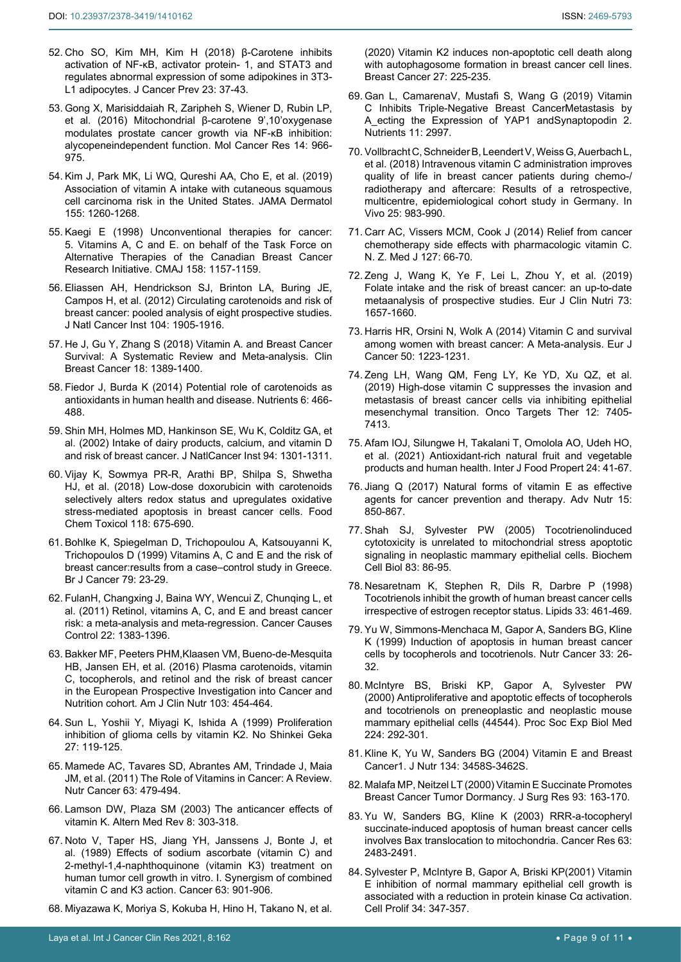- <span id="page-8-0"></span>52. [Cho SO, Kim MH, Kim H \(2018\) β-Carotene inhibits](https://pubmed.ncbi.nlm.nih.gov/29629347/)  [activation of NF-κB, activator protein- 1, and STAT3 and](https://pubmed.ncbi.nlm.nih.gov/29629347/)  [regulates abnormal expression of some adipokines in 3T3-](https://pubmed.ncbi.nlm.nih.gov/29629347/) [L1 adipocytes. J Cancer Prev 23: 37-43.](https://pubmed.ncbi.nlm.nih.gov/29629347/)
- 53. [Gong X, Marisiddaiah R, Zaripheh S, Wiener D, Rubin LP,](https://pubmed.ncbi.nlm.nih.gov/27406826/)  et al. (2016) [Mitochondrial β-carotene 9',10'oxygenase](https://pubmed.ncbi.nlm.nih.gov/27406826/)  [modulates prostate cancer growth via NF-κB inhibition:](https://pubmed.ncbi.nlm.nih.gov/27406826/)  [alycopeneindependent function. Mol Cancer Res 14: 966-](https://pubmed.ncbi.nlm.nih.gov/27406826/) [975.](https://pubmed.ncbi.nlm.nih.gov/27406826/)
- <span id="page-8-1"></span>54. [Kim J, Park MK, Li WQ, Qureshi AA, Cho E, et al. \(2019\)](https://pubmed.ncbi.nlm.nih.gov/31365038/)  [Association of vitamin A intake with cutaneous squamous](https://pubmed.ncbi.nlm.nih.gov/31365038/)  [cell carcinoma risk in the United States.](https://pubmed.ncbi.nlm.nih.gov/31365038/) JAMA Dermatol [155: 1260-1268.](https://pubmed.ncbi.nlm.nih.gov/31365038/)
- <span id="page-8-2"></span>55. [Kaegi E \(1998\) Unconventional therapies for cancer:](https://pubmed.ncbi.nlm.nih.gov/9597967/)  [5. Vitamins A, C and E. on behalf of the Task Force on](https://pubmed.ncbi.nlm.nih.gov/9597967/)  [Alternative Therapies of the Canadian Breast Cancer](https://pubmed.ncbi.nlm.nih.gov/9597967/)  [Research Initiative. CMAJ 158: 1157-1159.](https://pubmed.ncbi.nlm.nih.gov/9597967/)
- <span id="page-8-3"></span>56. [Eliassen AH, Hendrickson SJ, Brinton LA, Buring JE,](https://pubmed.ncbi.nlm.nih.gov/23221879/)  [Campos H, et al. \(2012\) Circulating carotenoids and risk of](https://pubmed.ncbi.nlm.nih.gov/23221879/)  [breast cancer: pooled analysis of eight prospective studies.](https://pubmed.ncbi.nlm.nih.gov/23221879/)  [J Natl Cancer Inst 104: 1905-1916.](https://pubmed.ncbi.nlm.nih.gov/23221879/)
- <span id="page-8-4"></span>57. [He J, Gu Y, Zhang S \(2018\) Vitamin A. and Breast Cancer](https://pubmed.ncbi.nlm.nih.gov/30190194/)  [Survival: A Systematic Review and Meta-analysis. Clin](https://pubmed.ncbi.nlm.nih.gov/30190194/)  [Breast Cancer 18: 1389-1400.](https://pubmed.ncbi.nlm.nih.gov/30190194/)
- <span id="page-8-13"></span>58. Fiedor J, Burda K (2014) [Potential role of carotenoids as](https://pubmed.ncbi.nlm.nih.gov/24473231/)  [antioxidants in human health and disease. Nutrients 6: 466-](https://pubmed.ncbi.nlm.nih.gov/24473231/) [488.](https://pubmed.ncbi.nlm.nih.gov/24473231/)
- <span id="page-8-14"></span>59. [Shin MH, Holmes MD, Hankinson SE, Wu K, Colditz GA, et](https://pubmed.ncbi.nlm.nih.gov/12208895/)  [al. \(2002\) Intake of dairy products, calcium, and vitamin D](https://pubmed.ncbi.nlm.nih.gov/12208895/)  [and risk of breast cancer. J NatlCancer Inst 94: 1301-1311.](https://pubmed.ncbi.nlm.nih.gov/12208895/)
- <span id="page-8-15"></span>60. [Vijay K, Sowmya PR-R, Arathi BP, Shilpa S, Shwetha](https://pubmed.ncbi.nlm.nih.gov/29920287/)  [HJ, et al. \(2018\) Low-dose doxorubicin with carotenoids](https://pubmed.ncbi.nlm.nih.gov/29920287/)  [selectively alters redox status and upregulates oxidative](https://pubmed.ncbi.nlm.nih.gov/29920287/)  [stress-mediated apoptosis in breast cancer cells. Food](https://pubmed.ncbi.nlm.nih.gov/29920287/)  [Chem Toxicol 118: 675-690.](https://pubmed.ncbi.nlm.nih.gov/29920287/)
- <span id="page-8-10"></span>61. [Bohlke K, Spiegelman D, Trichopoulou A, Katsouyanni K,](https://pubmed.ncbi.nlm.nih.gov/10408688/)  [Trichopoulos D \(1999\) Vitamins A, C and E and the risk of](https://pubmed.ncbi.nlm.nih.gov/10408688/)  [breast cancer:results from a case–control study in Greece.](https://pubmed.ncbi.nlm.nih.gov/10408688/)  [Br J Cancer 79: 23-29.](https://pubmed.ncbi.nlm.nih.gov/10408688/)
- <span id="page-8-16"></span>62. [FulanH, Changxing J, Baina WY, Wencui Z, Chunqing L, et](https://pubmed.ncbi.nlm.nih.gov/21761132/)  [al. \(2011\) Retinol, vitamins A, C, and E and breast cancer](https://pubmed.ncbi.nlm.nih.gov/21761132/)  [risk: a meta-analysis and meta-regression. Cancer Causes](https://pubmed.ncbi.nlm.nih.gov/21761132/)  Control [22: 1383-1396.](https://pubmed.ncbi.nlm.nih.gov/21761132/)
- <span id="page-8-17"></span>63. [Bakker MF, Peeters PHM,Klaasen VM, Bueno-de-Mesquita](https://pubmed.ncbi.nlm.nih.gov/26791185/)  [HB, Jansen EH, et al. \(2016\) Plasma carotenoids, vitamin](https://pubmed.ncbi.nlm.nih.gov/26791185/)  [C, tocopherols, and retinol and the risk of breast cancer](https://pubmed.ncbi.nlm.nih.gov/26791185/)  [in the European Prospective Investigation into Cancer and](https://pubmed.ncbi.nlm.nih.gov/26791185/)  [Nutrition cohort. Am J Clin Nutr 103: 454-464.](https://pubmed.ncbi.nlm.nih.gov/26791185/)
- <span id="page-8-18"></span>64. [Sun L, Yoshii Y, Miyagi K, Ishida A \(1999\)](https://pubmed.ncbi.nlm.nih.gov/10065443/) Proliferation [inhibition of glioma cells by vitamin K2. No Shinkei Geka](https://pubmed.ncbi.nlm.nih.gov/10065443/)  [27: 119-125.](https://pubmed.ncbi.nlm.nih.gov/10065443/)
- <span id="page-8-19"></span>65. [Mamede AC, Tavares SD, Abrantes AM, Trindade J, Maia](https://pubmed.ncbi.nlm.nih.gov/21541902/)  [JM, et al. \(2011\) The Role of Vitamins in Cancer: A Review.](https://pubmed.ncbi.nlm.nih.gov/21541902/)  Nutr Cancer [63: 479-494.](https://pubmed.ncbi.nlm.nih.gov/21541902/)
- <span id="page-8-20"></span>66. [Lamson DW, Plaza SM \(2003\) The anticancer effects of](https://pubmed.ncbi.nlm.nih.gov/12946240/)  [vitamin K. Altern Med Rev](https://pubmed.ncbi.nlm.nih.gov/12946240/) 8: 303-318.
- <span id="page-8-21"></span>67. [Noto V, Taper HS, Jiang YH, Janssens J, Bonte J, et](https://pubmed.ncbi.nlm.nih.gov/2914296/)  [al. \(1989\) Effects of sodium ascorbate \(vitamin C\) and](https://pubmed.ncbi.nlm.nih.gov/2914296/)  [2-methyl-1,4-naphthoquinone \(vitamin K3\) treatment on](https://pubmed.ncbi.nlm.nih.gov/2914296/)  [human tumor cell growth in vitro. I. Synergism of combined](https://pubmed.ncbi.nlm.nih.gov/2914296/)  [vitamin C and K3 action. Cancer](https://pubmed.ncbi.nlm.nih.gov/2914296/) 63: 901-906.
- <span id="page-8-22"></span>68. [Miyazawa K, Moriya S, Kokuba H, Hino H, Takano N, et al.](https://pubmed.ncbi.nlm.nih.gov/31625014/)

[\(2020\) Vitamin K2 induces non-apoptotic cell death along](https://pubmed.ncbi.nlm.nih.gov/31625014/)  [with autophagosome formation in breast cancer cell lines.](https://pubmed.ncbi.nlm.nih.gov/31625014/)  [Breast Cancer](https://pubmed.ncbi.nlm.nih.gov/31625014/) 27: 225-235.

- <span id="page-8-5"></span>69. [Gan L, CamarenaV, Mustafi S, Wang G \(2019\) Vitamin](https://pubmed.ncbi.nlm.nih.gov/31817810/)  [C Inhibits Triple-Negative Breast CancerMetastasis by](https://pubmed.ncbi.nlm.nih.gov/31817810/)  A ecting the Expression of YAP1 andSynaptopodin 2. [Nutrients 11: 2997.](https://pubmed.ncbi.nlm.nih.gov/31817810/)
- <span id="page-8-6"></span>70. [Vollbracht C, Schneider B, Leendert V, Weiss G, Auerbach L,](https://pubmed.ncbi.nlm.nih.gov/22021693/)  [et al. \(2018\) Intravenous vitamin C administration improves](https://pubmed.ncbi.nlm.nih.gov/22021693/)  [quality of life in breast cancer patients during chemo-/](https://pubmed.ncbi.nlm.nih.gov/22021693/) [radiotherapy and aftercare: Results of a retrospective,](https://pubmed.ncbi.nlm.nih.gov/22021693/)  [multicentre, epidemiological cohort study in Germany. In](https://pubmed.ncbi.nlm.nih.gov/22021693/)  Vivo [25: 983-990.](https://pubmed.ncbi.nlm.nih.gov/22021693/)
- <span id="page-8-7"></span>71. [Carr AC, Vissers MCM, Cook J \(2014\) Relief from cancer](https://journal.nzma.org.nz/journal-articles/relief-from-cancer-chemotherapy-side-effects-with-pharmacologic-vitamin-c)  [chemotherapy side effects with pharmacologic vitamin C.](https://journal.nzma.org.nz/journal-articles/relief-from-cancer-chemotherapy-side-effects-with-pharmacologic-vitamin-c)  [N. Z. Med J 127: 66-70.](https://journal.nzma.org.nz/journal-articles/relief-from-cancer-chemotherapy-side-effects-with-pharmacologic-vitamin-c)
- <span id="page-8-8"></span>72. [Zeng J, Wang K, Ye F, Lei L, Zhou Y, et al. \(2019\)](https://pubmed.ncbi.nlm.nih.gov/30647438/)  [Folate intake and the risk of breast cancer: an up-to-date](https://pubmed.ncbi.nlm.nih.gov/30647438/)  [metaanalysis of prospective studies. Eur J Clin Nutri](https://pubmed.ncbi.nlm.nih.gov/30647438/) 73: [1657-1660.](https://pubmed.ncbi.nlm.nih.gov/30647438/)
- <span id="page-8-9"></span>73. [Harris HR, Orsini N, Wolk A \(2014\) Vitamin C and survival](https://pubmed.ncbi.nlm.nih.gov/24613622/)  [among women with breast cancer: A Meta-analysis. Eur J](https://pubmed.ncbi.nlm.nih.gov/24613622/)  [Cancer 50: 1223-1231.](https://pubmed.ncbi.nlm.nih.gov/24613622/)
- <span id="page-8-11"></span>74. [Zeng LH, Wang QM, Feng LY, Ke YD, Xu QZ, et al.](https://www.ncbi.nlm.nih.gov/pmc/articles/PMC6753468/)  [\(2019\) High-dose vitamin C suppresses the invasion and](https://www.ncbi.nlm.nih.gov/pmc/articles/PMC6753468/)  [metastasis of breast cancer cells via inhibiting epithelial](https://www.ncbi.nlm.nih.gov/pmc/articles/PMC6753468/)  [mesenchymal transition. Onco Targets Ther](https://www.ncbi.nlm.nih.gov/pmc/articles/PMC6753468/) 12: 7405- [7413.](https://www.ncbi.nlm.nih.gov/pmc/articles/PMC6753468/)
- <span id="page-8-12"></span>75. [Afam IOJ, Silungwe H, Takalani T, Omolola AO, Udeh HO,](https://www.tandfonline.com/doi/full/10.1080/10942912.2020.1866597)  [et al. \(2021\) Antioxidant-rich natural fruit and vegetable](https://www.tandfonline.com/doi/full/10.1080/10942912.2020.1866597)  [products and human health. Inter J Food Propert](https://www.tandfonline.com/doi/full/10.1080/10942912.2020.1866597) 24: 41-67.
- <span id="page-8-24"></span>76. [Jiang Q \(2017\) Natural forms of vitamin E as effective](https://pubmed.ncbi.nlm.nih.gov/29141970/)  [agents for cancer prevention and therapy. Adv Nutr](https://pubmed.ncbi.nlm.nih.gov/29141970/) 15: [850-867.](https://pubmed.ncbi.nlm.nih.gov/29141970/)
- <span id="page-8-25"></span>77. [Shah SJ, Sylvester PW \(2005\) Tocotrienolinduced](https://pubmed.ncbi.nlm.nih.gov/15746970/)  [cytotoxicity is unrelated to mitochondrial stress apoptotic](https://pubmed.ncbi.nlm.nih.gov/15746970/)  [signaling in neoplastic mammary epithelial cells. Biochem](https://pubmed.ncbi.nlm.nih.gov/15746970/)  Cell Biol [83: 86-95.](https://pubmed.ncbi.nlm.nih.gov/15746970/)
- <span id="page-8-26"></span>78. [Nesaretnam K, Stephen R, Dils R, Darbre P \(1998\)](https://pubmed.ncbi.nlm.nih.gov/9625593/)  [Tocotrienols inhibit the growth of human breast cancer cells](https://pubmed.ncbi.nlm.nih.gov/9625593/)  [irrespective of estrogen receptor status. Lipids](https://pubmed.ncbi.nlm.nih.gov/9625593/) 33: 461-469.
- 79. [Yu W, Simmons-Menchaca M, Gapor A, Sanders BG, Kline](https://pubmed.ncbi.nlm.nih.gov/10227040/)  K (1999) [Induction of apoptosis in human breast cancer](https://pubmed.ncbi.nlm.nih.gov/10227040/)  [cells by tocopherols and tocotrienols. Nutr Cancer 33: 26-](https://pubmed.ncbi.nlm.nih.gov/10227040/) [32.](https://pubmed.ncbi.nlm.nih.gov/10227040/)
- <span id="page-8-27"></span>80. [McIntyre BS, Briski KP, Gapor A, Sylvester PW](https://pubmed.ncbi.nlm.nih.gov/10964265/)  (2000) [Antiproliferative and apoptotic effects of tocopherols](https://pubmed.ncbi.nlm.nih.gov/10964265/)  [and tocotrienols on preneoplastic and neoplastic mouse](https://pubmed.ncbi.nlm.nih.gov/10964265/)  [mammary epithelial cells \(44544\). Proc Soc Exp Biol Med](https://pubmed.ncbi.nlm.nih.gov/10964265/)  [224: 292-301.](https://pubmed.ncbi.nlm.nih.gov/10964265/)
- <span id="page-8-23"></span>81. [Kline K, Yu W, Sanders BG \(2004\) Vitamin E and Breast](https://pubmed.ncbi.nlm.nih.gov/15570054/)  [Cancer1. J Nutr 134: 3458S-3462S.](https://pubmed.ncbi.nlm.nih.gov/15570054/)
- <span id="page-8-28"></span>82. [Malafa MP, Neitzel LT \(2000\) Vitamin E Succinate Promotes](https://pubmed.ncbi.nlm.nih.gov/10945959/)  [Breast Cancer Tumor Dormancy. J Surg Res 93: 163-170.](https://pubmed.ncbi.nlm.nih.gov/10945959/)
- <span id="page-8-29"></span>83. [Yu W, Sanders BG, Kline K \(2003\) RRR-a-tocopheryl](https://pubmed.ncbi.nlm.nih.gov/12750270/)  [succinate-induced apoptosis of human breast cancer cells](https://pubmed.ncbi.nlm.nih.gov/12750270/)  [involves Bax translocation to mitochondria. Cancer Res 63:](https://pubmed.ncbi.nlm.nih.gov/12750270/)  [2483-2491.](https://pubmed.ncbi.nlm.nih.gov/12750270/)
- <span id="page-8-30"></span>84. [Sylvester P, McIntyre B, Gapor A, Briski KP\(2001\) Vitamin](https://pubmed.ncbi.nlm.nih.gov/11736999/)  [E inhibition of normal mammary epithelial cell growth is](https://pubmed.ncbi.nlm.nih.gov/11736999/)  [associated with a reduction in protein kinase Cα activation.](https://pubmed.ncbi.nlm.nih.gov/11736999/)  [Cell Prolif 34: 347-357.](https://pubmed.ncbi.nlm.nih.gov/11736999/)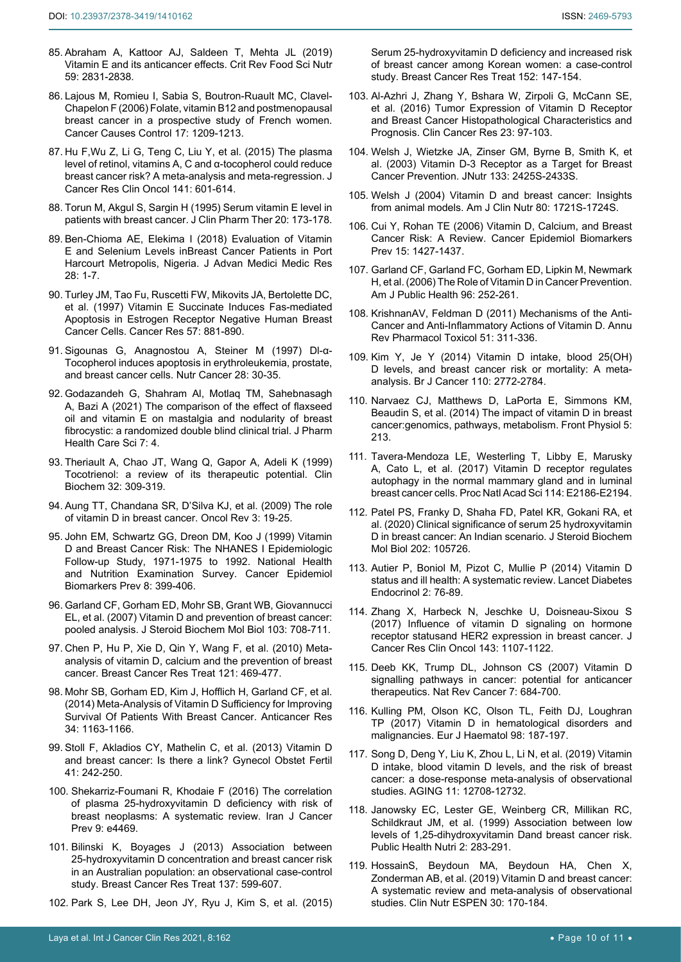- <span id="page-9-11"></span>85. [Abraham A, Kattoor AJ, Saldeen T, Mehta JL \(2019\)](https://pubmed.ncbi.nlm.nih.gov/29746786/)  [Vitamin E and its anticancer effects.](https://pubmed.ncbi.nlm.nih.gov/29746786/) Crit Rev Food Sci Nutr [59: 2831-2838.](https://pubmed.ncbi.nlm.nih.gov/29746786/)
- <span id="page-9-12"></span>86. [Lajous M, Romieu I, Sabia S, Boutron-Ruault MC, Clavel-](https://pubmed.ncbi.nlm.nih.gov/17006726/)[Chapelon F \(2006\) Folate, vitamin B12 and postmenopausal](https://pubmed.ncbi.nlm.nih.gov/17006726/)  [breast cancer in a prospective study of French women.](https://pubmed.ncbi.nlm.nih.gov/17006726/)  [Cancer Causes Control](https://pubmed.ncbi.nlm.nih.gov/17006726/) 17: 1209-1213.
- <span id="page-9-13"></span>87. [Hu F,Wu Z, Li G, Teng C, Liu Y, et al. \(2015\) The plasma](https://pubmed.ncbi.nlm.nih.gov/25316441/)  [level of retinol, vitamins A, C and α-tocopherol could reduce](https://pubmed.ncbi.nlm.nih.gov/25316441/)  [breast cancer risk? A meta-analysis and meta-regression. J](https://pubmed.ncbi.nlm.nih.gov/25316441/)  [Cancer Res Clin Oncol](https://pubmed.ncbi.nlm.nih.gov/25316441/) 141: 601-614.
- <span id="page-9-14"></span>88. [Torun M, Akgul S, Sargin H \(1995\) Serum vitamin E level in](https://pubmed.ncbi.nlm.nih.gov/7593380/)  [patients with breast cancer. J Clin Pharm Ther 20: 173-178.](https://pubmed.ncbi.nlm.nih.gov/7593380/)
- <span id="page-9-15"></span>89. [Ben-Chioma AE, Elekima I \(2018\)](https://www.journaljammr.com/index.php/JAMMR/article/view/28947) Evaluation of Vitamin [E and Selenium Levels inBreast Cancer Patients in Port](https://www.journaljammr.com/index.php/JAMMR/article/view/28947)  [Harcourt Metropolis, Nigeria. J Advan Medici Medic Res](https://www.journaljammr.com/index.php/JAMMR/article/view/28947)  [28: 1-7.](https://www.journaljammr.com/index.php/JAMMR/article/view/28947)
- <span id="page-9-16"></span>90. [Turley JM, Tao Fu, Ruscetti FW, Mikovits JA, Bertolette DC,](https://pubmed.ncbi.nlm.nih.gov/9041190/)  [et al. \(1997\) Vitamin E Succinate Induces Fas-mediated](https://pubmed.ncbi.nlm.nih.gov/9041190/)  [Apoptosis in Estrogen Receptor Negative Human Breast](https://pubmed.ncbi.nlm.nih.gov/9041190/)  [Cancer Cells. Cancer Res 57: 881-890.](https://pubmed.ncbi.nlm.nih.gov/9041190/)
- <span id="page-9-17"></span>91. [Sigounas G, Anagnostou A, Steiner M \(1997\) Dl-α-](https://pubmed.ncbi.nlm.nih.gov/9200147/)[Tocopherol induces apoptosis in erythroleukemia, prostate,](https://pubmed.ncbi.nlm.nih.gov/9200147/)  [and breast cancer cells. Nutr Cancer 28: 30-35.](https://pubmed.ncbi.nlm.nih.gov/9200147/)
- <span id="page-9-18"></span>92. [Godazandeh G, Shahram Al, Motlaq TM, Sahebnasagh](https://pubmed.ncbi.nlm.nih.gov/33407941/)  [A, Bazi A \(2021\) The comparison of the effect of flaxseed](https://pubmed.ncbi.nlm.nih.gov/33407941/)  [oil and vitamin E on mastalgia and nodularity of breast](https://pubmed.ncbi.nlm.nih.gov/33407941/)  [fibrocystic: a randomized double blind clinical trial. J Pharm](https://pubmed.ncbi.nlm.nih.gov/33407941/)  [Health Care Sci 7: 4.](https://pubmed.ncbi.nlm.nih.gov/33407941/)
- <span id="page-9-0"></span>93. [Theriault A, Chao JT, Wang Q, Gapor A, Adeli K \(1999\)](https://pubmed.ncbi.nlm.nih.gov/10480444/)  [Tocotrienol: a review of its therapeutic potential. Clin](https://pubmed.ncbi.nlm.nih.gov/10480444/)  [Biochem 32: 309-319.](https://pubmed.ncbi.nlm.nih.gov/10480444/)
- <span id="page-9-1"></span>94. Aung TT, Chandana SR, D'Silva KJ, et al. (2009) The role of vitamin D in breast cancer. Oncol Rev 3: 19-25.
- <span id="page-9-2"></span>95. [John EM, Schwartz GG, Dreon DM, Koo J \(1999\) Vitamin](https://pubmed.ncbi.nlm.nih.gov/10350434/)  [D and Breast Cancer Risk: The NHANES I Epidemiologic](https://pubmed.ncbi.nlm.nih.gov/10350434/)  [Follow-up Study, 1971-1975 to 1992. National Health](https://pubmed.ncbi.nlm.nih.gov/10350434/)  [and Nutrition Examination Survey. Cancer Epidemiol](https://pubmed.ncbi.nlm.nih.gov/10350434/)  [Biomarkers Prev 8: 399-406.](https://pubmed.ncbi.nlm.nih.gov/10350434/)
- <span id="page-9-3"></span>96. [Garland CF, Gorham ED, Mohr SB, Grant WB, Giovannucci](https://pubmed.ncbi.nlm.nih.gov/17368188/)  [EL, et al. \(2007\) Vitamin D and prevention of breast cancer:](https://pubmed.ncbi.nlm.nih.gov/17368188/)  [pooled analysis. J Steroid Biochem Mol Biol 103: 708-711.](https://pubmed.ncbi.nlm.nih.gov/17368188/)
- <span id="page-9-4"></span>97. [Chen P, Hu P, Xie D, Qin Y, Wang F, et al. \(2010\) Meta](https://pubmed.ncbi.nlm.nih.gov/19851861/)[analysis of vitamin D, calcium and the prevention of breast](https://pubmed.ncbi.nlm.nih.gov/19851861/)  [cancer. Breast Cancer Res Treat 121: 469-477.](https://pubmed.ncbi.nlm.nih.gov/19851861/)
- <span id="page-9-5"></span>98. [Mohr SB, Gorham ED, Kim J, Hofflich H, Garland CF, et al.](https://pubmed.ncbi.nlm.nih.gov/24596354/)  [\(2014\) Meta-Analysis of Vitamin D Sufficiency for Improving](https://pubmed.ncbi.nlm.nih.gov/24596354/)  [Survival Of Patients With Breast Cancer. Anticancer Res](https://pubmed.ncbi.nlm.nih.gov/24596354/)  [34: 1163-1166.](https://pubmed.ncbi.nlm.nih.gov/24596354/)
- <span id="page-9-6"></span>99. Stoll F, Akladios CY, Mathelin C, et al. (2013) Vitamin D and breast cancer: Is there a link? Gynecol Obstet Fertil 41: 242-250.
- <span id="page-9-7"></span>100. [Shekarriz-Foumani R, Khodaie F \(2016\) The correlation](https://pubmed.ncbi.nlm.nih.gov/27703645/)  [of plasma 25-hydroxyvitamin D deficiency with risk of](https://pubmed.ncbi.nlm.nih.gov/27703645/)  [breast neoplasms: A systematic review. Iran J Cancer](https://pubmed.ncbi.nlm.nih.gov/27703645/)  [Prev 9: e4469.](https://pubmed.ncbi.nlm.nih.gov/27703645/)
- <span id="page-9-8"></span>101. [Bilinski K, Boyages J \(2013\) Association between](https://pubmed.ncbi.nlm.nih.gov/23239153/)  [25-hydroxyvitamin D concentration and breast cancer risk](https://pubmed.ncbi.nlm.nih.gov/23239153/)  [in an Australian population: an observational case-control](https://pubmed.ncbi.nlm.nih.gov/23239153/)  [study. Breast Cancer Res Treat](https://pubmed.ncbi.nlm.nih.gov/23239153/) 137: 599-607.
- <span id="page-9-9"></span>102. [Park S, Lee DH, Jeon JY, Ryu J, Kim S, et al. \(2015\)](https://pubmed.ncbi.nlm.nih.gov/26037255/)

[Serum 25-hydroxyvitamin D deficiency and increased risk](https://pubmed.ncbi.nlm.nih.gov/26037255/)  [of breast cancer among Korean women: a case-control](https://pubmed.ncbi.nlm.nih.gov/26037255/)  [study. Breast Cancer Res Treat 152: 147-154.](https://pubmed.ncbi.nlm.nih.gov/26037255/)

- <span id="page-9-10"></span>103. [Al-Azhri J, Zhang Y, Bshara W, Zirpoli G, McCann SE,](https://pubmed.ncbi.nlm.nih.gov/27407090/)  [et al. \(2016\) Tumor Expression of Vitamin D Receptor](https://pubmed.ncbi.nlm.nih.gov/27407090/)  [and Breast Cancer Histopathological Characteristics and](https://pubmed.ncbi.nlm.nih.gov/27407090/)  [Prognosis. Clin Cancer Res 23: 97-103.](https://pubmed.ncbi.nlm.nih.gov/27407090/)
- <span id="page-9-19"></span>104. [Welsh J, Wietzke JA, Zinser GM, Byrne B, Smith K, et](https://pubmed.ncbi.nlm.nih.gov/12840219/)  [al. \(2003\) Vitamin D-3 Receptor as a Target for Breast](https://pubmed.ncbi.nlm.nih.gov/12840219/)  [Cancer Prevention. JNutr](https://pubmed.ncbi.nlm.nih.gov/12840219/) 133: 2425S-2433S.
- 105. [Welsh J \(2004\) Vitamin D and breast cancer: Insights](https://pubmed.ncbi.nlm.nih.gov/15585794/)  [from animal models. Am J Clin Nutr 80: 1721S-1724S.](https://pubmed.ncbi.nlm.nih.gov/15585794/)
- 106. Cui Y, Rohan TE (2006) [Vitamin D, Calcium, and Breast](https://pubmed.ncbi.nlm.nih.gov/16896028/)  [Cancer Risk: A Review. Cancer Epidemiol Biomarkers](https://pubmed.ncbi.nlm.nih.gov/16896028/)  [Prev 15: 1427-1437.](https://pubmed.ncbi.nlm.nih.gov/16896028/)
- 107. [Garland CF, Garland FC, Gorham ED, Lipkin M, Newmark](https://www.ncbi.nlm.nih.gov/pmc/articles/PMC1470481/)  [H, et al. \(2006\) The Role of Vitamin D in Cancer Prevention.](https://www.ncbi.nlm.nih.gov/pmc/articles/PMC1470481/)  [Am J Public Health](https://www.ncbi.nlm.nih.gov/pmc/articles/PMC1470481/) 96: 252-261.
- 108. [KrishnanAV, Feldman D \(2011\) Mechanisms of the Anti-](https://pubmed.ncbi.nlm.nih.gov/20936945/)[Cancer and Anti-Inflammatory Actions of Vitamin D. Annu](https://pubmed.ncbi.nlm.nih.gov/20936945/)  [Rev Pharmacol Toxicol 51: 311-336.](https://pubmed.ncbi.nlm.nih.gov/20936945/)
- <span id="page-9-20"></span>109. Kim Y, Je Y (2014) [Vitamin D intake, blood 25\(OH\)](https://pubmed.ncbi.nlm.nih.gov/24714744/)  [D levels, and breast cancer risk or mortality: A meta](https://pubmed.ncbi.nlm.nih.gov/24714744/)[analysis. Br J Cancer 110: 2772-2784.](https://pubmed.ncbi.nlm.nih.gov/24714744/)
- <span id="page-9-21"></span>110. [Narvaez CJ, Matthews D, LaPorta E, Simmons KM,](https://www.ncbi.nlm.nih.gov/pmc/articles/PMC4055997/)  Beaudin S, et al. (2014) [The impact of vitamin D in breast](https://www.ncbi.nlm.nih.gov/pmc/articles/PMC4055997/)  [cancer:genomics, pathways, metabolism. Front Physiol 5:](https://www.ncbi.nlm.nih.gov/pmc/articles/PMC4055997/)  [213.](https://www.ncbi.nlm.nih.gov/pmc/articles/PMC4055997/)
- <span id="page-9-22"></span>111. [Tavera-Mendoza LE, Westerling T, Libby E, Marusky](https://pubmed.ncbi.nlm.nih.gov/28242709/)  [A, Cato L, et al. \(2017\) Vitamin D receptor regulates](https://pubmed.ncbi.nlm.nih.gov/28242709/)  [autophagy in the normal mammary gland and in luminal](https://pubmed.ncbi.nlm.nih.gov/28242709/)  [breast cancer cells. Proc Natl Acad Sci 114: E2186-E2194.](https://pubmed.ncbi.nlm.nih.gov/28242709/)
- <span id="page-9-23"></span>112. [Patel PS, Franky D, Shaha FD, Patel KR, Gokani RA, et](https://pubmed.ncbi.nlm.nih.gov/32682059/)  [al. \(2020\) Clinical significance of serum 25 hydroxyvitamin](https://pubmed.ncbi.nlm.nih.gov/32682059/)  [D in breast cancer: An Indian scenario. J Steroid Biochem](https://pubmed.ncbi.nlm.nih.gov/32682059/)  Mol Biol [202: 105726.](https://pubmed.ncbi.nlm.nih.gov/32682059/)
- <span id="page-9-24"></span>113. [Autier P, Boniol M, Pizot C, Mullie P \(2014\) Vitamin D](https://pubmed.ncbi.nlm.nih.gov/24622671/)  [status and ill health: A systematic review. Lancet Diabetes](https://pubmed.ncbi.nlm.nih.gov/24622671/)  [Endocrinol 2: 76-89.](https://pubmed.ncbi.nlm.nih.gov/24622671/)
- <span id="page-9-25"></span>114. [Zhang X, Harbeck N, Jeschke U, Doisneau-Sixou S](https://pubmed.ncbi.nlm.nih.gov/28025696/)  [\(2017\) Influence of vitamin D signaling on hormone](https://pubmed.ncbi.nlm.nih.gov/28025696/)  [receptor statusand HER2 expression in breast cancer. J](https://pubmed.ncbi.nlm.nih.gov/28025696/)  [Cancer Res Clin Oncol 143: 1107-1122.](https://pubmed.ncbi.nlm.nih.gov/28025696/)
- <span id="page-9-26"></span>115. [Deeb KK, Trump DL, Johnson CS \(2007\) Vitamin D](https://pubmed.ncbi.nlm.nih.gov/17721433/)  [signalling pathways in cancer: potential for anticancer](https://pubmed.ncbi.nlm.nih.gov/17721433/)  [therapeutics. Nat Rev Cancer 7: 684-700.](https://pubmed.ncbi.nlm.nih.gov/17721433/)
- <span id="page-9-27"></span>116. [Kulling PM, Olson KC, Olson TL, Feith DJ, Loughran](https://pubmed.ncbi.nlm.nih.gov/27743385/)  [TP \(2017\) Vitamin D in hematological disorders and](https://pubmed.ncbi.nlm.nih.gov/27743385/)  [malignancies. Eur J Haematol 98: 187-197.](https://pubmed.ncbi.nlm.nih.gov/27743385/)
- <span id="page-9-28"></span>117. [Song D, Deng Y, Liu K, Zhou L, Li N, et al. \(2019\) Vitamin](https://www.ncbi.nlm.nih.gov/pmc/articles/PMC6949087/)  [D intake, blood vitamin D levels, and the risk of breast](https://www.ncbi.nlm.nih.gov/pmc/articles/PMC6949087/)  [cancer: a dose-response meta-analysis of observational](https://www.ncbi.nlm.nih.gov/pmc/articles/PMC6949087/)  [studies. AGING 11: 12708-12732.](https://www.ncbi.nlm.nih.gov/pmc/articles/PMC6949087/)
- <span id="page-9-29"></span>118. [Janowsky EC, Lester GE, Weinberg CR, Millikan RC,](https://pubmed.ncbi.nlm.nih.gov/10512563/)  [Schildkraut JM, et al. \(1999\) Association between low](https://pubmed.ncbi.nlm.nih.gov/10512563/)  [levels of 1,25-dihydroxyvitamin Dand breast cancer risk.](https://pubmed.ncbi.nlm.nih.gov/10512563/)  [Public Health Nutri 2: 283-291.](https://pubmed.ncbi.nlm.nih.gov/10512563/)
- <span id="page-9-30"></span>119. [HossainS, Beydoun MA, Beydoun HA, Chen X,](https://pubmed.ncbi.nlm.nih.gov/30904218/)  [Zonderman AB, et al. \(2019\) Vitamin D and breast cancer:](https://pubmed.ncbi.nlm.nih.gov/30904218/)  [A systematic review and meta-analysis of observational](https://pubmed.ncbi.nlm.nih.gov/30904218/)  [studies. Clin Nutr ESPEN 30: 170-184.](https://pubmed.ncbi.nlm.nih.gov/30904218/)